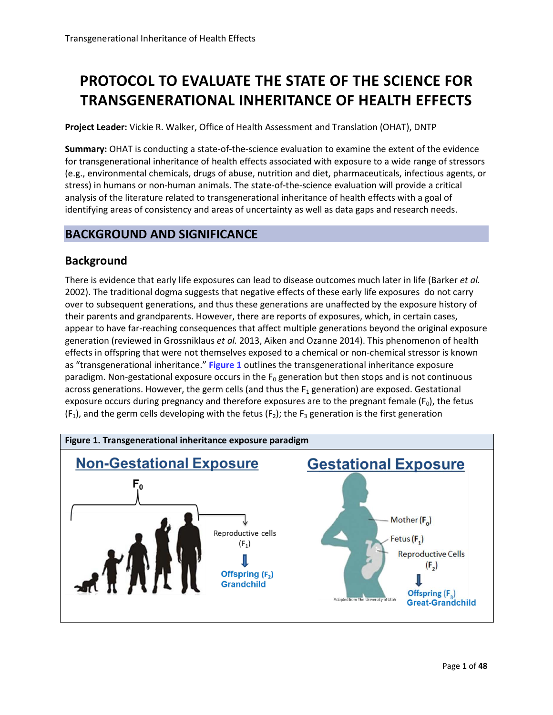# **PROTOCOL TO EVALUATE THE STATE OF THE SCIENCE FOR TRANSGENERATIONAL INHERITANCE OF HEALTH EFFECTS**

**Project Leader:** Vickie R. Walker, Office of Health Assessment and Translation (OHAT), DNTP

**Summary:** OHAT is conducting a state-of-the-science evaluation to examine the extent of the evidence for transgenerational inheritance of health effects associated with exposure to a wide range of stressors (e.g., environmental chemicals, drugs of abuse, nutrition and diet, pharmaceuticals, infectious agents, or stress) in humans or non-human animals. The state-of-the-science evaluation will provide a critical analysis of the literature related to transgenerational inheritance of health effects with a goal of identifying areas of consistency and areas of uncertainty as well as data gaps and research needs.

# **BACKGROUND AND SIGNIFICANCE**

# **Background**

There is evidence that early life exposures can lead to disease outcomes much later in life [\(Barker](#page-15-0) *et al.* [2002\)](#page-15-0). The traditional dogma suggests that negative effects of these early life exposures do not carry over to subsequent generations, and thus these generations are unaffected by the exposure history of their parents and grandparents. However, there are reports of exposures, which, in certain cases, appear to have far-reaching consequences that affect multiple generations beyond the original exposure generation (reviewed in [Grossniklaus](#page-15-1) *et al.* 2013[, Aiken and Ozanne 2014\)](#page-15-2). This phenomenon of health effects in offspring that were not themselves exposed to a chemical or non-chemical stressor is known as "transgenerational inheritance." **[Figure 1](#page-0-0)** outlines the transgenerational inheritance exposure paradigm. Non-gestational exposure occurs in the  $F_0$  generation but then stops and is not continuous across generations. However, the germ cells (and thus the  $F_1$  generation) are exposed. Gestational exposure occurs during pregnancy and therefore exposures are to the pregnant female ( $F_0$ ), the fetus  $(F_1)$ , and the germ cells developing with the fetus  $(F_2)$ ; the  $F_3$  generation is the first generation

<span id="page-0-0"></span>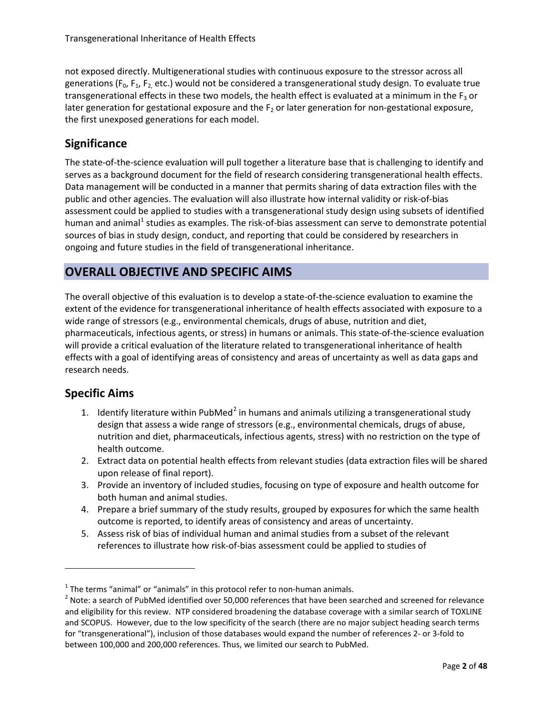not exposed directly. Multigenerational studies with continuous exposure to the stressor across all generations ( $F_0$ ,  $F_1$ ,  $F_2$ , etc.) would not be considered a transgenerational study design. To evaluate true transgenerational effects in these two models, the health effect is evaluated at a minimum in the  $F_3$  or later generation for gestational exposure and the  $F<sub>2</sub>$  or later generation for non-gestational exposure, the first unexposed generations for each model.

# **Significance**

The state-of-the-science evaluation will pull together a literature base that is challenging to identify and serves as a background document for the field of research considering transgenerational health effects. Data management will be conducted in a manner that permits sharing of data extraction files with the public and other agencies. The evaluation will also illustrate how internal validity or risk-of-bias assessment could be applied to studies with a transgenerational study design using subsets of identified human and animal<sup>[1](#page-1-0)</sup> studies as examples. The risk-of-bias assessment can serve to demonstrate potential sources of bias in study design, conduct, and reporting that could be considered by researchers in ongoing and future studies in the field of transgenerational inheritance.

# **OVERALL OBJECTIVE AND SPECIFIC AIMS**

The overall objective of this evaluation is to develop a state-of-the-science evaluation to examine the extent of the evidence for transgenerational inheritance of health effects associated with exposure to a wide range of stressors (e.g., environmental chemicals, drugs of abuse, nutrition and diet, pharmaceuticals, infectious agents, or stress) in humans or animals. This state-of-the-science evaluation will provide a critical evaluation of the literature related to transgenerational inheritance of health effects with a goal of identifying areas of consistency and areas of uncertainty as well as data gaps and research needs.

# **Specific Aims**

 $\overline{a}$ 

- 1. Identify literature within PubMed<sup>[2](#page-1-1)</sup> in humans and animals utilizing a transgenerational study design that assess a wide range of stressors (e.g., environmental chemicals, drugs of abuse, nutrition and diet, pharmaceuticals, infectious agents, stress) with no restriction on the type of health outcome.
- 2. Extract data on potential health effects from relevant studies (data extraction files will be shared upon release of final report).
- 3. Provide an inventory of included studies, focusing on type of exposure and health outcome for both human and animal studies.
- 4. Prepare a brief summary of the study results, grouped by exposures for which the same health outcome is reported, to identify areas of consistency and areas of uncertainty.
- 5. Assess risk of bias of individual human and animal studies from a subset of the relevant references to illustrate how risk-of-bias assessment could be applied to studies of

<span id="page-1-1"></span><span id="page-1-0"></span><sup>&</sup>lt;sup>1</sup> The terms "animal" or "animals" in this protocol refer to non-human animals.<br><sup>2</sup> Note: a search of PubMed identified over 50,000 references that have been searched and screened for relevance and eligibility for this review. NTP considered broadening the database coverage with a similar search of TOXLINE and SCOPUS. However, due to the low specificity of the search (there are no major subject heading search terms for "transgenerational"), inclusion of those databases would expand the number of references 2- or 3-fold to between 100,000 and 200,000 references. Thus, we limited our search to PubMed.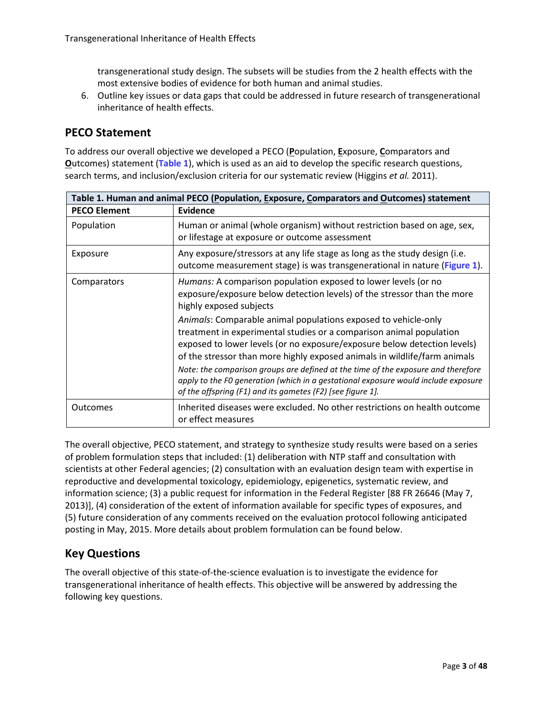transgenerational study design. The subsets will be studies from the 2 health effects with the most extensive bodies of evidence for both human and animal studies.

6. Outline key issues or data gaps that could be addressed in future research of transgenerational inheritance of health effects.

# **PECO Statement**

To address our overall objective we developed a PECO (**P**opulation, **E**xposure, **C**omparators and **O**utcomes) statement (**[Table](#page-2-0) 1**), which is used as an aid to develop the specific research questions, search terms, and inclusion/exclusion criteria for our systematic review [\(Higgins](#page-15-3) *et al.* 2011).

<span id="page-2-0"></span>

| Table 1. Human and animal PECO (Population, Exposure, Comparators and Outcomes) statement |                                                                                                                                                                                                                                                                                                |  |  |
|-------------------------------------------------------------------------------------------|------------------------------------------------------------------------------------------------------------------------------------------------------------------------------------------------------------------------------------------------------------------------------------------------|--|--|
| <b>PECO Element</b>                                                                       | Evidence                                                                                                                                                                                                                                                                                       |  |  |
| Population                                                                                | Human or animal (whole organism) without restriction based on age, sex,<br>or lifestage at exposure or outcome assessment                                                                                                                                                                      |  |  |
| Exposure                                                                                  | Any exposure/stressors at any life stage as long as the study design (i.e.<br>outcome measurement stage) is was transgenerational in nature (Figure 1).                                                                                                                                        |  |  |
| Comparators                                                                               | Humans: A comparison population exposed to lower levels (or no<br>exposure/exposure below detection levels) of the stressor than the more<br>highly exposed subjects                                                                                                                           |  |  |
|                                                                                           | Animals: Comparable animal populations exposed to vehicle-only<br>treatment in experimental studies or a comparison animal population<br>exposed to lower levels (or no exposure/exposure below detection levels)<br>of the stressor than more highly exposed animals in wildlife/farm animals |  |  |
|                                                                                           | Note: the comparison groups are defined at the time of the exposure and therefore<br>apply to the F0 generation (which in a gestational exposure would include exposure<br>of the offspring (F1) and its gametes (F2) [see figure 1].                                                          |  |  |
| Outcomes                                                                                  | Inherited diseases were excluded. No other restrictions on health outcome<br>or effect measures                                                                                                                                                                                                |  |  |

The overall objective, PECO statement, and strategy to synthesize study results were based on a series of problem formulation steps that included: (1) deliberation with NTP staff and consultation with scientists at other Federal agencies; (2) consultation with an evaluation design team with expertise in reproductive and developmental toxicology, epidemiology, epigenetics, systematic review, and information science; (3) a public request for information in the Federal Register [88 FR 26646 (May 7, 2013)], (4) consideration of the extent of information available for specific types of exposures, and (5) future consideration of any comments received on the evaluation protocol following anticipated posting in May, 2015. More details about problem formulation can be found below.

# **Key Questions**

The overall objective of this state-of-the-science evaluation is to investigate the evidence for transgenerational inheritance of health effects. This objective will be answered by addressing the following key questions.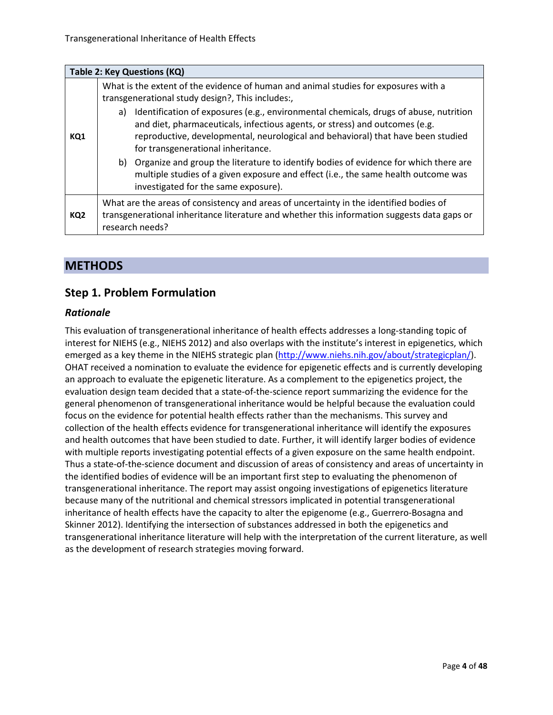| Table 2: Key Questions (KQ) |                                                                                                                                                                                                                                                                                                                                                                                                                                                 |  |  |  |
|-----------------------------|-------------------------------------------------------------------------------------------------------------------------------------------------------------------------------------------------------------------------------------------------------------------------------------------------------------------------------------------------------------------------------------------------------------------------------------------------|--|--|--|
| KQ1                         | What is the extent of the evidence of human and animal studies for exposures with a<br>transgenerational study design?, This includes:,<br>Identification of exposures (e.g., environmental chemicals, drugs of abuse, nutrition<br>a)<br>and diet, pharmaceuticals, infectious agents, or stress) and outcomes (e.g.<br>reproductive, developmental, neurological and behavioral) that have been studied<br>for transgenerational inheritance. |  |  |  |
|                             | Organize and group the literature to identify bodies of evidence for which there are<br>b)<br>multiple studies of a given exposure and effect (i.e., the same health outcome was<br>investigated for the same exposure).                                                                                                                                                                                                                        |  |  |  |
| KQ <sub>2</sub>             | What are the areas of consistency and areas of uncertainty in the identified bodies of<br>transgenerational inheritance literature and whether this information suggests data gaps or<br>research needs?                                                                                                                                                                                                                                        |  |  |  |

# **METHODS**

# **Step 1. Problem Formulation**

# *Rationale*

This evaluation of transgenerational inheritance of health effects addresses a long-standing topic of interest for NIEHS [\(e.g., NIEHS 2012\)](#page-15-4) and also overlaps with the institute's interest in epigenetics, which emerged as a key theme in the NIEHS strategic plan [\(http://www.niehs.nih.gov/about/strategicplan/\)](http://www.niehs.nih.gov/about/strategicplan/). OHAT received a nomination to evaluate the evidence for epigenetic effects and is currently developing an approach to evaluate the epigenetic literature. As a complement to the epigenetics project, the evaluation design team decided that a state-of-the-science report summarizing the evidence for the general phenomenon of transgenerational inheritance would be helpful because the evaluation could focus on the evidence for potential health effects rather than the mechanisms. This survey and collection of the health effects evidence for transgenerational inheritance will identify the exposures and health outcomes that have been studied to date. Further, it will identify larger bodies of evidence with multiple reports investigating potential effects of a given exposure on the same health endpoint. Thus a state-of-the-science document and discussion of areas of consistency and areas of uncertainty in the identified bodies of evidence will be an important first step to evaluating the phenomenon of transgenerational inheritance. The report may assist ongoing investigations of epigenetics literature because many of the nutritional and chemical stressors implicated in potential transgenerational inheritance of health effects have the capacity to alter the epigenome [\(e.g., Guerrero-Bosagna and](#page-15-5)  [Skinner 2012\)](#page-15-5). Identifying the intersection of substances addressed in both the epigenetics and transgenerational inheritance literature will help with the interpretation of the current literature, as well as the development of research strategies moving forward.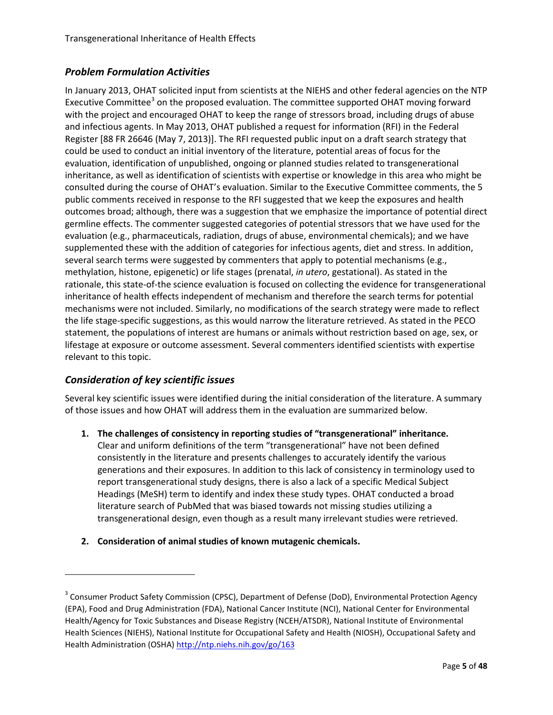# *Problem Formulation Activities*

In January 2013, OHAT solicited input from scientists at the NIEHS and other federal agencies on the NTP Executive Committee<sup>[3](#page-4-0)</sup> on the proposed evaluation. The committee supported OHAT moving forward with the project and encouraged OHAT to keep the range of stressors broad, including drugs of abuse and infectious agents. In May 2013, OHAT published a request for information (RFI) in the Federal Register [88 FR 26646 (May 7, 2013)]. The RFI requested public input on a draft search strategy that could be used to conduct an initial inventory of the literature, potential areas of focus for the evaluation, identification of unpublished, ongoing or planned studies related to transgenerational inheritance, as well as identification of scientists with expertise or knowledge in this area who might be consulted during the course of OHAT's evaluation. Similar to the Executive Committee comments, the 5 public comments received in response to the RFI suggested that we keep the exposures and health outcomes broad; although, there was a suggestion that we emphasize the importance of potential direct germline effects. The commenter suggested categories of potential stressors that we have used for the evaluation (e.g., pharmaceuticals, radiation, drugs of abuse, environmental chemicals); and we have supplemented these with the addition of categories for infectious agents, diet and stress. In addition, several search terms were suggested by commenters that apply to potential mechanisms (e.g., methylation, histone, epigenetic) or life stages (prenatal, *in utero*, gestational). As stated in the rationale, this state-of-the science evaluation is focused on collecting the evidence for transgenerational inheritance of health effects independent of mechanism and therefore the search terms for potential mechanisms were not included. Similarly, no modifications of the search strategy were made to reflect the life stage-specific suggestions, as this would narrow the literature retrieved. As stated in the PECO statement, the populations of interest are humans or animals without restriction based on age, sex, or lifestage at exposure or outcome assessment. Several commenters identified scientists with expertise relevant to this topic.

# *Consideration of key scientific issues*

 $\overline{a}$ 

Several key scientific issues were identified during the initial consideration of the literature. A summary of those issues and how OHAT will address them in the evaluation are summarized below.

- **1. The challenges of consistency in reporting studies of "transgenerational" inheritance.** Clear and uniform definitions of the term "transgenerational" have not been defined consistently in the literature and presents challenges to accurately identify the various generations and their exposures. In addition to this lack of consistency in terminology used to report transgenerational study designs, there is also a lack of a specific Medical Subject Headings (MeSH) term to identify and index these study types. OHAT conducted a broad literature search of PubMed that was biased towards not missing studies utilizing a transgenerational design, even though as a result many irrelevant studies were retrieved.
- **2. Consideration of animal studies of known mutagenic chemicals.**

<span id="page-4-0"></span><sup>&</sup>lt;sup>3</sup> Consumer Product Safety Commission (CPSC), Department of Defense (DoD), Environmental Protection Agency (EPA), Food and Drug Administration (FDA), National Cancer Institute (NCI), National Center for Environmental Health/Agency for Toxic Substances and Disease Registry (NCEH/ATSDR), National Institute of Environmental Health Sciences (NIEHS), National Institute for Occupational Safety and Health (NIOSH), Occupational Safety and Health Administration (OSHA[\) http://ntp.niehs.nih.gov/go/163](http://ntp.niehs.nih.gov/go/163)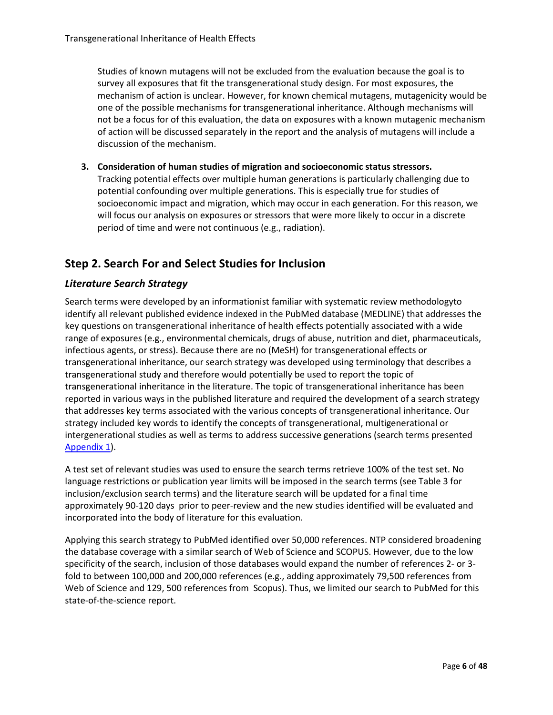Studies of known mutagens will not be excluded from the evaluation because the goal is to survey all exposures that fit the transgenerational study design. For most exposures, the mechanism of action is unclear. However, for known chemical mutagens, mutagenicity would be one of the possible mechanisms for transgenerational inheritance. Although mechanisms will not be a focus for of this evaluation, the data on exposures with a known mutagenic mechanism of action will be discussed separately in the report and the analysis of mutagens will include a discussion of the mechanism.

**3. Consideration of human studies of migration and socioeconomic status stressors.** Tracking potential effects over multiple human generations is particularly challenging due to potential confounding over multiple generations. This is especially true for studies of socioeconomic impact and migration, which may occur in each generation. For this reason, we will focus our analysis on exposures or stressors that were more likely to occur in a discrete period of time and were not continuous (e.g., radiation).

# **Step 2. Search For and Select Studies for Inclusion**

# *Literature Search Strategy*

Search terms were developed by an informationist familiar with systematic review methodologyto identify all relevant published evidence indexed in the PubMed database (MEDLINE) that addresses the key questions on transgenerational inheritance of health effects potentially associated with a wide range of exposures (e.g., environmental chemicals, drugs of abuse, nutrition and diet, pharmaceuticals, infectious agents, or stress). Because there are no (MeSH) for transgenerational effects or transgenerational inheritance, our search strategy was developed using terminology that describes a transgenerational study and therefore would potentially be used to report the topic of transgenerational inheritance in the literature. The topic of transgenerational inheritance has been reported in various ways in the published literature and required the development of a search strategy that addresses key terms associated with the various concepts of transgenerational inheritance. Our strategy included key words to identify the concepts of transgenerational, multigenerational or intergenerational studies as well as terms to address successive generations (search terms presented [Appendix](#page-18-0) 1).

A test set of relevant studies was used to ensure the search terms retrieve 100% of the test set. No language restrictions or publication year limits will be imposed in the search terms (see Table 3 for inclusion/exclusion search terms) and the literature search will be updated for a final time approximately 90-120 days prior to peer-review and the new studies identified will be evaluated and incorporated into the body of literature for this evaluation.

Applying this search strategy to PubMed identified over 50,000 references. NTP considered broadening the database coverage with a similar search of Web of Science and SCOPUS. However, due to the low specificity of the search, inclusion of those databases would expand the number of references 2- or 3 fold to between 100,000 and 200,000 references (e.g., adding approximately 79,500 references from Web of Science and 129, 500 references from Scopus). Thus, we limited our search to PubMed for this state-of-the-science report.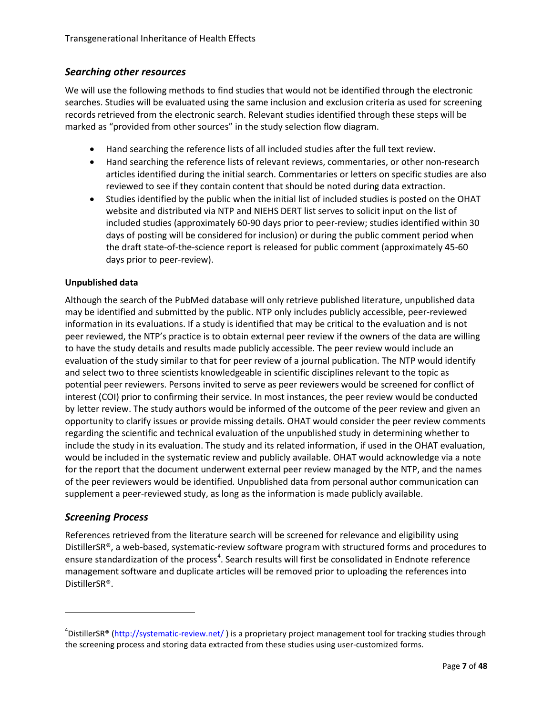# *Searching other resources*

We will use the following methods to find studies that would not be identified through the electronic searches. Studies will be evaluated using the same inclusion and exclusion criteria as used for screening records retrieved from the electronic search. Relevant studies identified through these steps will be marked as "provided from other sources" in the study selection flow diagram.

- Hand searching the reference lists of all included studies after the full text review.
- Hand searching the reference lists of relevant reviews, commentaries, or other non-research articles identified during the initial search. Commentaries or letters on specific studies are also reviewed to see if they contain content that should be noted during data extraction.
- Studies identified by the public when the initial list of included studies is posted on the OHAT website and distributed via NTP and NIEHS DERT list serves to solicit input on the list of included studies (approximately 60-90 days prior to peer-review; studies identified within 30 days of posting will be considered for inclusion) or during the public comment period when the draft state-of-the-science report is released for public comment (approximately 45-60 days prior to peer-review).

### **Unpublished data**

Although the search of the PubMed database will only retrieve published literature, unpublished data may be identified and submitted by the public. NTP only includes publicly accessible, peer-reviewed information in its evaluations. If a study is identified that may be critical to the evaluation and is not peer reviewed, the NTP's practice is to obtain external peer review if the owners of the data are willing to have the study details and results made publicly accessible. The peer review would include an evaluation of the study similar to that for peer review of a journal publication. The NTP would identify and select two to three scientists knowledgeable in scientific disciplines relevant to the topic as potential peer reviewers. Persons invited to serve as peer reviewers would be screened for conflict of interest (COI) prior to confirming their service. In most instances, the peer review would be conducted by letter review. The study authors would be informed of the outcome of the peer review and given an opportunity to clarify issues or provide missing details. OHAT would consider the peer review comments regarding the scientific and technical evaluation of the unpublished study in determining whether to include the study in its evaluation. The study and its related information, if used in the OHAT evaluation, would be included in the systematic review and publicly available. OHAT would acknowledge via a note for the report that the document underwent external peer review managed by the NTP, and the names of the peer reviewers would be identified. Unpublished data from personal author communication can supplement a peer-reviewed study, as long as the information is made publicly available.

# *Screening Process*

 $\overline{a}$ 

References retrieved from the literature search will be screened for relevance and eligibility using DistillerSR®, a web-based, systematic-review software program with structured forms and procedures to ensure standardization of the process<sup>[4](#page-6-0)</sup>. Search results will first be consolidated in Endnote reference management software and duplicate articles will be removed prior to uploading the references into DistillerSR®.

<span id="page-6-0"></span><sup>&</sup>lt;sup>4</sup>DistillerSR® [\(http://systematic-review.net/](http://systematic-review.net/)) is a proprietary project management tool for tracking studies through the screening process and storing data extracted from these studies using user-customized forms.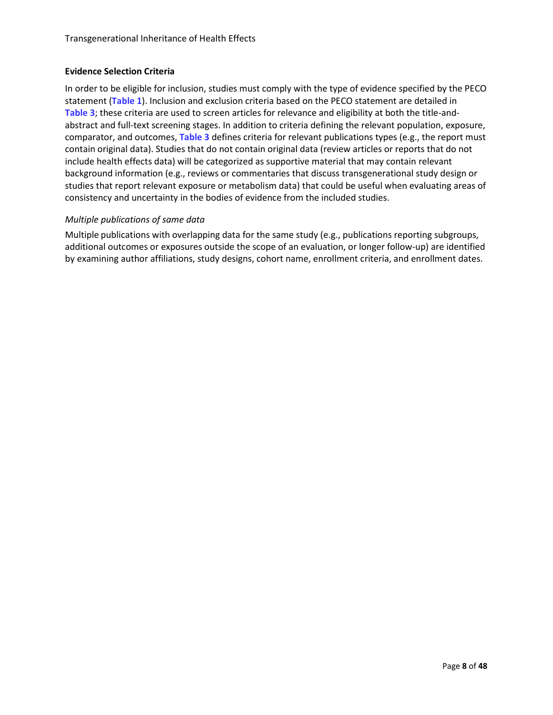### **Evidence Selection Criteria**

In order to be eligible for inclusion, studies must comply with the type of evidence specified by the PECO statement (**[Table](#page-2-0) 1**). Inclusion and exclusion criteria based on the PECO statement are detailed in **[Table](#page-8-0) 3**; these criteria are used to screen articles for relevance and eligibility at both the title-andabstract and full-text screening stages. In addition to criteria defining the relevant population, exposure, comparator, and outcomes, **[Table](#page-8-0) 3** defines criteria for relevant publications types (e.g., the report must contain original data). Studies that do not contain original data (review articles or reports that do not include health effects data) will be categorized as supportive material that may contain relevant background information (e.g., reviews or commentaries that discuss transgenerational study design or studies that report relevant exposure or metabolism data) that could be useful when evaluating areas of consistency and uncertainty in the bodies of evidence from the included studies.

### *Multiple publications of same data*

Multiple publications with overlapping data for the same study (e.g., publications reporting subgroups, additional outcomes or exposures outside the scope of an evaluation, or longer follow-up) are identified by examining author affiliations, study designs, cohort name, enrollment criteria, and enrollment dates.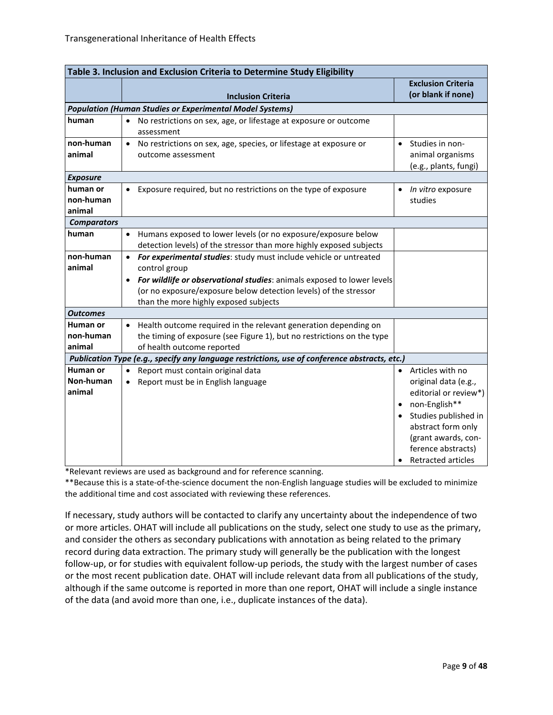<span id="page-8-0"></span>

| Table 3. Inclusion and Exclusion Criteria to Determine Study Eligibility |                                                                                                                                                                                                                                                                                        |                                                                                                                                                                                                     |  |  |
|--------------------------------------------------------------------------|----------------------------------------------------------------------------------------------------------------------------------------------------------------------------------------------------------------------------------------------------------------------------------------|-----------------------------------------------------------------------------------------------------------------------------------------------------------------------------------------------------|--|--|
|                                                                          |                                                                                                                                                                                                                                                                                        | <b>Exclusion Criteria</b>                                                                                                                                                                           |  |  |
|                                                                          | <b>Inclusion Criteria</b>                                                                                                                                                                                                                                                              | (or blank if none)                                                                                                                                                                                  |  |  |
|                                                                          | <b>Population (Human Studies or Experimental Model Systems)</b>                                                                                                                                                                                                                        |                                                                                                                                                                                                     |  |  |
| human                                                                    | No restrictions on sex, age, or lifestage at exposure or outcome<br>$\bullet$<br>assessment                                                                                                                                                                                            |                                                                                                                                                                                                     |  |  |
| non-human<br>animal                                                      | No restrictions on sex, age, species, or lifestage at exposure or<br>$\bullet$<br>outcome assessment                                                                                                                                                                                   | Studies in non-<br>animal organisms<br>(e.g., plants, fungi)                                                                                                                                        |  |  |
| <b>Exposure</b>                                                          |                                                                                                                                                                                                                                                                                        |                                                                                                                                                                                                     |  |  |
| human or<br>non-human<br>animal                                          | Exposure required, but no restrictions on the type of exposure                                                                                                                                                                                                                         | In vitro exposure<br>studies                                                                                                                                                                        |  |  |
| <b>Comparators</b>                                                       |                                                                                                                                                                                                                                                                                        |                                                                                                                                                                                                     |  |  |
| human                                                                    | Humans exposed to lower levels (or no exposure/exposure below<br>$\bullet$<br>detection levels) of the stressor than more highly exposed subjects                                                                                                                                      |                                                                                                                                                                                                     |  |  |
| non-human<br>animal                                                      | For experimental studies: study must include vehicle or untreated<br>$\bullet$<br>control group<br>For wildlife or observational studies: animals exposed to lower levels<br>(or no exposure/exposure below detection levels) of the stressor<br>than the more highly exposed subjects |                                                                                                                                                                                                     |  |  |
| <b>Outcomes</b>                                                          |                                                                                                                                                                                                                                                                                        |                                                                                                                                                                                                     |  |  |
| Human or<br>non-human<br>animal                                          | Health outcome required in the relevant generation depending on<br>the timing of exposure (see Figure 1), but no restrictions on the type<br>of health outcome reported                                                                                                                |                                                                                                                                                                                                     |  |  |
|                                                                          | Publication Type (e.g., specify any language restrictions, use of conference abstracts, etc.)                                                                                                                                                                                          |                                                                                                                                                                                                     |  |  |
| Human or<br>Non-human<br>animal                                          | Report must contain original data<br>Report must be in English language                                                                                                                                                                                                                | Articles with no<br>original data (e.g.,<br>editorial or review*)<br>non-English**<br>Studies published in<br>abstract form only<br>(grant awards, con-<br>ference abstracts)<br>Retracted articles |  |  |

\*Relevant reviews are used as background and for reference scanning.

\*\*Because this is a state-of-the-science document the non-English language studies will be excluded to minimize the additional time and cost associated with reviewing these references.

If necessary, study authors will be contacted to clarify any uncertainty about the independence of two or more articles. OHAT will include all publications on the study, select one study to use as the primary, and consider the others as secondary publications with annotation as being related to the primary record during data extraction. The primary study will generally be the publication with the longest follow-up, or for studies with equivalent follow-up periods, the study with the largest number of cases or the most recent publication date. OHAT will include relevant data from all publications of the study, although if the same outcome is reported in more than one report, OHAT will include a single instance of the data (and avoid more than one, i.e., duplicate instances of the data).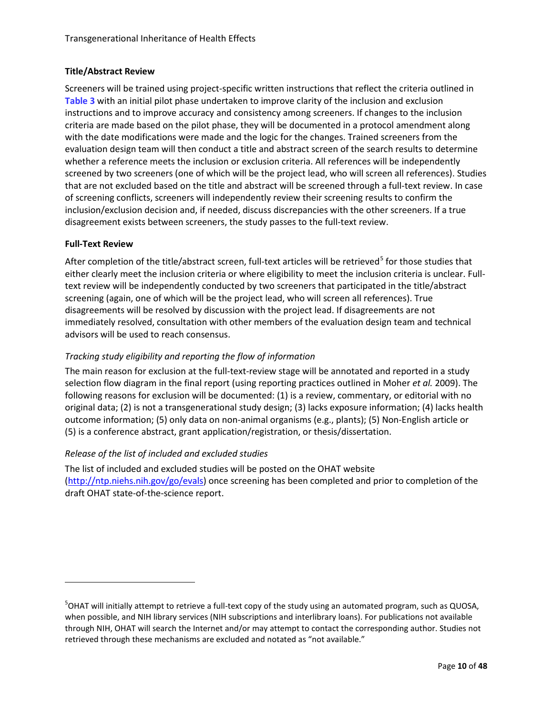### **Title/Abstract Review**

Screeners will be trained using project-specific written instructions that reflect the criteria outlined in **[Table](#page-8-0) 3** with an initial pilot phase undertaken to improve clarity of the inclusion and exclusion instructions and to improve accuracy and consistency among screeners. If changes to the inclusion criteria are made based on the pilot phase, they will be documented in a protocol amendment along with the date modifications were made and the logic for the changes. Trained screeners from the evaluation design team will then conduct a title and abstract screen of the search results to determine whether a reference meets the inclusion or exclusion criteria. All references will be independently screened by two screeners (one of which will be the project lead, who will screen all references). Studies that are not excluded based on the title and abstract will be screened through a full-text review. In case of screening conflicts, screeners will independently review their screening results to confirm the inclusion/exclusion decision and, if needed, discuss discrepancies with the other screeners. If a true disagreement exists between screeners, the study passes to the full-text review.

# **Full-Text Review**

 $\overline{a}$ 

After completion of the title/abstract screen, full-text articles will be retrieved<sup>[5](#page-9-0)</sup> for those studies that either clearly meet the inclusion criteria or where eligibility to meet the inclusion criteria is unclear. Fulltext review will be independently conducted by two screeners that participated in the title/abstract screening (again, one of which will be the project lead, who will screen all references). True disagreements will be resolved by discussion with the project lead. If disagreements are not immediately resolved, consultation with other members of the evaluation design team and technical advisors will be used to reach consensus.

# *Tracking study eligibility and reporting the flow of information*

The main reason for exclusion at the full-text-review stage will be annotated and reported in a study selection flow diagram in the final report [\(using reporting practices outlined in Moher](#page-15-6) *et al.* 2009). The following reasons for exclusion will be documented: (1) is a review, commentary, or editorial with no original data; (2) is not a transgenerational study design; (3) lacks exposure information; (4) lacks health outcome information; (5) only data on non-animal organisms (e.g., plants); (5) Non-English article or (5) is a conference abstract, grant application/registration, or thesis/dissertation.

### *Release of the list of included and excluded studies*

The list of included and excluded studies will be posted on the OHAT website [\(http://ntp.niehs.nih.gov/go/evals\)](http://ntp.niehs.nih.gov/go/evals) once screening has been completed and prior to completion of the draft OHAT state-of-the-science report.

<span id="page-9-0"></span><sup>&</sup>lt;sup>5</sup>OHAT will initially attempt to retrieve a full-text copy of the study using an automated program, such as QUOSA, when possible, and NIH library services (NIH subscriptions and interlibrary loans). For publications not available through NIH, OHAT will search the Internet and/or may attempt to contact the corresponding author. Studies not retrieved through these mechanisms are excluded and notated as "not available."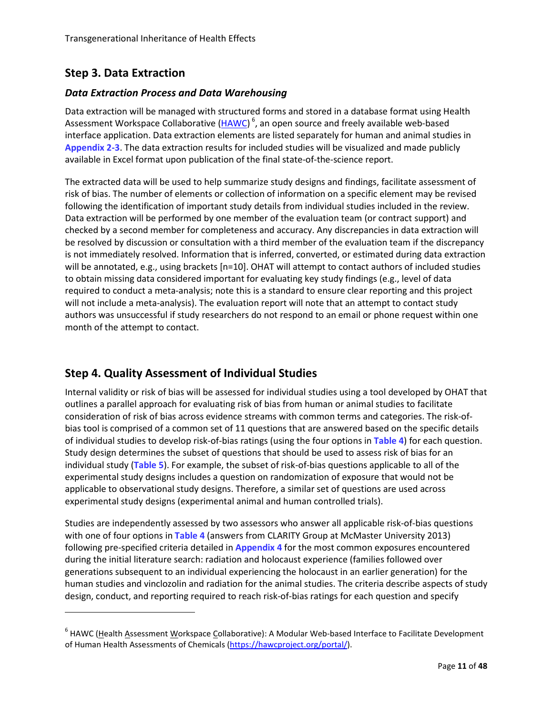# **Step 3. Data Extraction**

 $\overline{a}$ 

# *Data Extraction Process and Data Warehousing*

Data extraction will be managed with structured forms and stored in a database format using Health Assessment Workspace Collaborative [\(HAWC\)](https://hawcproject.org/portal/)<sup>[6](#page-10-0)</sup>, an open source and freely available web-based interface application. Data extraction elements are listed separately for human and animal studies in **[Appendix](#page-19-0) 2-3**. The data extraction results for included studies will be visualized and made publicly available in Excel format upon publication of the final state-of-the-science report.

The extracted data will be used to help summarize study designs and findings, facilitate assessment of risk of bias. The number of elements or collection of information on a specific element may be revised following the identification of important study details from individual studies included in the review. Data extraction will be performed by one member of the evaluation team (or contract support) and checked by a second member for completeness and accuracy. Any discrepancies in data extraction will be resolved by discussion or consultation with a third member of the evaluation team if the discrepancy is not immediately resolved. Information that is inferred, converted, or estimated during data extraction will be annotated, e.g., using brackets [n=10]. OHAT will attempt to contact authors of included studies to obtain missing data considered important for evaluating key study findings (e.g., level of data required to conduct a meta-analysis; note this is a standard to ensure clear reporting and this project will not include a meta-analysis). The evaluation report will note that an attempt to contact study authors was unsuccessful if study researchers do not respond to an email or phone request within one month of the attempt to contact.

# **Step 4. Quality Assessment of Individual Studies**

Internal validity or risk of bias will be assessed for individual studies using a tool developed by OHAT that outlines a parallel approach for evaluating risk of bias from human or animal studies to facilitate consideration of risk of bias across evidence streams with common terms and categories. The risk-ofbias tool is comprised of a common set of 11 questions that are answered based on the specific details of individual studies to develop risk-of-bias ratings (using the four options in **[Table](#page-11-0) 4**) for each question. Study design determines the subset of questions that should be used to assess risk of bias for an individual study (**[Table](#page-12-0) 5**). For example, the subset of risk-of-bias questions applicable to all of the experimental study designs includes a question on randomization of exposure that would not be applicable to observational study designs. Therefore, a similar set of questions are used across experimental study designs (experimental animal and human controlled trials).

Studies are independently assessed by two assessors who answer all applicable risk-of-bias questions with one of four options in **[Table](#page-11-0) 4** [\(answers from CLARITY Group at McMaster University 2013\)](#page-15-7) following pre-specified criteria detailed in **[Appendix](#page-23-0) 4** for the most common exposures encountered during the initial literature search: radiation and holocaust experience (families followed over generations subsequent to an individual experiencing the holocaust in an earlier generation) for the human studies and vinclozolin and radiation for the animal studies. The criteria describe aspects of study design, conduct, and reporting required to reach risk-of-bias ratings for each question and specify

<span id="page-10-0"></span> $^6$  HAWC (Health Assessment Workspace Collaborative): A Modular Web-based Interface to Facilitate Development of Human Health Assessments of Chemicals [\(https://hawcproject.org/portal/\)](https://hawcproject.org/portal/).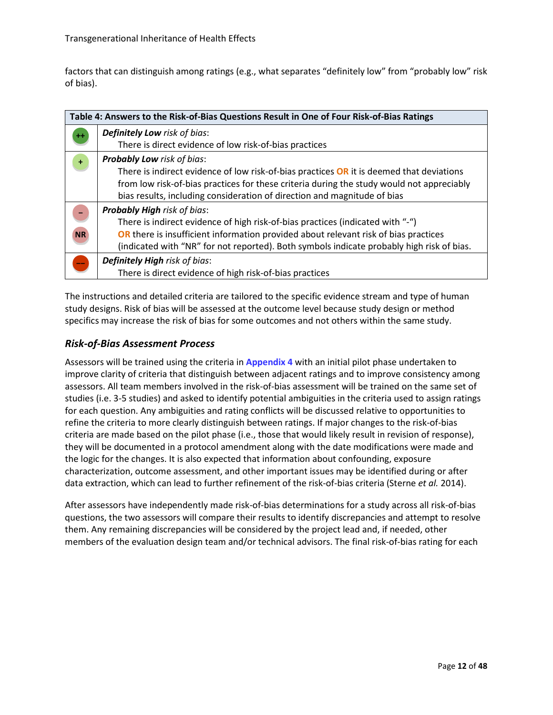factors that can distinguish among ratings (e.g., what separates "definitely low" from "probably low" risk of bias).

<span id="page-11-0"></span>

|           | Table 4: Answers to the Risk-of-Bias Questions Result in One of Four Risk-of-Bias Ratings  |  |  |
|-----------|--------------------------------------------------------------------------------------------|--|--|
|           | Definitely Low risk of bias:                                                               |  |  |
|           | There is direct evidence of low risk-of-bias practices                                     |  |  |
| $+$       | <b>Probably Low</b> risk of bias:                                                          |  |  |
|           | There is indirect evidence of low risk-of-bias practices OR it is deemed that deviations   |  |  |
|           | from low risk-of-bias practices for these criteria during the study would not appreciably  |  |  |
|           | bias results, including consideration of direction and magnitude of bias                   |  |  |
|           |                                                                                            |  |  |
|           | <b>Probably High risk of bias:</b>                                                         |  |  |
|           | There is indirect evidence of high risk-of-bias practices (indicated with "-")             |  |  |
| <b>NR</b> | <b>OR</b> there is insufficient information provided about relevant risk of bias practices |  |  |
|           | (indicated with "NR" for not reported). Both symbols indicate probably high risk of bias.  |  |  |
| $- -$     | <b>Definitely High risk of bias:</b>                                                       |  |  |
|           | There is direct evidence of high risk-of-bias practices                                    |  |  |

The instructions and detailed criteria are tailored to the specific evidence stream and type of human study designs. Risk of bias will be assessed at the outcome level because study design or method specifics may increase the risk of bias for some outcomes and not others within the same study.

# *Risk-of-Bias Assessment Process*

Assessors will be trained using the criteria in **[Appendix](#page-23-0) 4** with an initial pilot phase undertaken to improve clarity of criteria that distinguish between adjacent ratings and to improve consistency among assessors. All team members involved in the risk-of-bias assessment will be trained on the same set of studies (i.e. 3-5 studies) and asked to identify potential ambiguities in the criteria used to assign ratings for each question. Any ambiguities and rating conflicts will be discussed relative to opportunities to refine the criteria to more clearly distinguish between ratings. If major changes to the risk-of-bias criteria are made based on the pilot phase (i.e., those that would likely result in revision of response), they will be documented in a protocol amendment along with the date modifications were made and the logic for the changes. It is also expected that information about confounding, exposure characterization, outcome assessment, and other important issues may be identified during or after data extraction, which can lead to further refinement of the risk-of-bias criteria [\(Sterne](#page-15-8) *et al.* 2014).

After assessors have independently made risk-of-bias determinations for a study across all risk-of-bias questions, the two assessors will compare their results to identify discrepancies and attempt to resolve them. Any remaining discrepancies will be considered by the project lead and, if needed, other members of the evaluation design team and/or technical advisors. The final risk-of-bias rating for each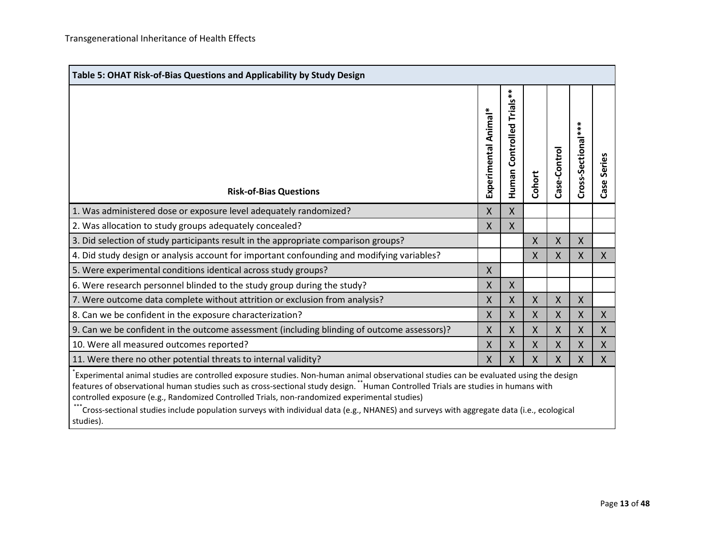| Table 5: OHAT Risk-of-Bias Questions and Applicability by Study Design                                                                |                      |                                 |              |              |                    |                       |
|---------------------------------------------------------------------------------------------------------------------------------------|----------------------|---------------------------------|--------------|--------------|--------------------|-----------------------|
| <b>Risk-of-Bias Questions</b>                                                                                                         | Experimental Animal* | Trials**<br>Controlled<br>Human | Cohort       | Case-Control | Cross-Sectional*** | <b>Series</b><br>Case |
| 1. Was administered dose or exposure level adequately randomized?                                                                     | Χ                    | $\mathsf{X}$                    |              |              |                    |                       |
| 2. Was allocation to study groups adequately concealed?                                                                               |                      | $\mathsf{X}$                    |              |              |                    |                       |
| 3. Did selection of study participants result in the appropriate comparison groups?                                                   |                      |                                 | Χ            | X            | X                  |                       |
| 4. Did study design or analysis account for important confounding and modifying variables?                                            |                      |                                 | X            | X            | X                  | $\mathsf{X}$          |
| 5. Were experimental conditions identical across study groups?                                                                        |                      |                                 |              |              |                    |                       |
| 6. Were research personnel blinded to the study group during the study?                                                               | Χ                    | $\mathsf{X}$                    |              |              |                    |                       |
| 7. Were outcome data complete without attrition or exclusion from analysis?                                                           | Χ                    | X                               | $\mathsf{X}$ | X            | X                  |                       |
| 8. Can we be confident in the exposure characterization?                                                                              | Χ                    | $\mathsf{X}$                    | X            | X            | X.                 | X                     |
| 9. Can we be confident in the outcome assessment (including blinding of outcome assessors)?                                           |                      | X                               | X            | X            | X                  | $\mathsf{X}$          |
| 10. Were all measured outcomes reported?                                                                                              |                      | X                               | X            | X            | X.                 | X                     |
| 11. Were there no other potential threats to internal validity?<br>X                                                                  |                      | $\mathsf{X}$                    | X            | X            | X                  | $\mathsf{X}$          |
| Experimental animal studies are controlled exposure studies. Non-human animal observational studies can be evaluated using the design |                      |                                 |              |              |                    |                       |

<span id="page-12-0"></span>features of observational human studies such as cross-sectional study design. \*\*Human Controlled Trials are studies in humans with controlled exposure (e.g., Randomized Controlled Trials, non-randomized experimental studies)

\*\*\*Cross-sectional studies include population surveys with individual data (e.g., NHANES) and surveys with aggregate data (i.e., ecological studies).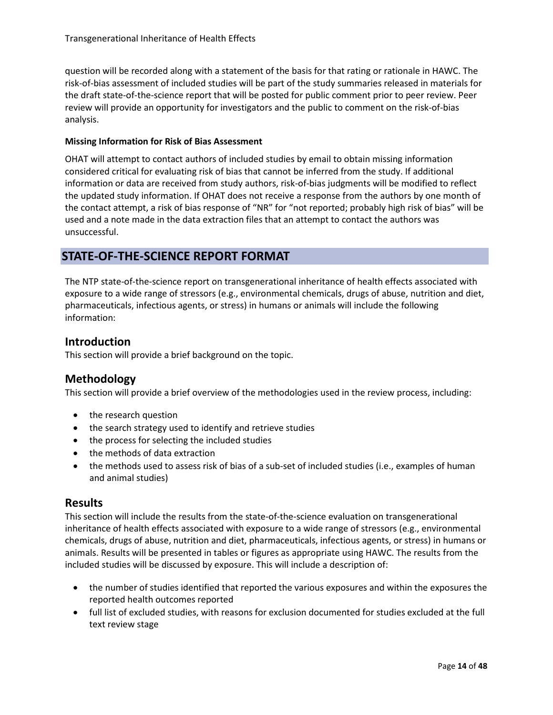question will be recorded along with a statement of the basis for that rating or rationale in HAWC. The risk-of-bias assessment of included studies will be part of the study summaries released in materials for the draft state-of-the-science report that will be posted for public comment prior to peer review. Peer review will provide an opportunity for investigators and the public to comment on the risk-of-bias analysis.

### **Missing Information for Risk of Bias Assessment**

OHAT will attempt to contact authors of included studies by email to obtain missing information considered critical for evaluating risk of bias that cannot be inferred from the study. If additional information or data are received from study authors, risk-of-bias judgments will be modified to reflect the updated study information. If OHAT does not receive a response from the authors by one month of the contact attempt, a risk of bias response of "NR" for "not reported; probably high risk of bias" will be used and a note made in the data extraction files that an attempt to contact the authors was unsuccessful.

# **STATE-OF-THE-SCIENCE REPORT FORMAT**

The NTP state-of-the-science report on transgenerational inheritance of health effects associated with exposure to a wide range of stressors (e.g., environmental chemicals, drugs of abuse, nutrition and diet, pharmaceuticals, infectious agents, or stress) in humans or animals will include the following information:

# **Introduction**

This section will provide a brief background on the topic.

# **Methodology**

This section will provide a brief overview of the methodologies used in the review process, including:

- the research question
- the search strategy used to identify and retrieve studies
- the process for selecting the included studies
- the methods of data extraction
- the methods used to assess risk of bias of a sub-set of included studies (i.e., examples of human and animal studies)

# **Results**

This section will include the results from the state-of-the-science evaluation on transgenerational inheritance of health effects associated with exposure to a wide range of stressors (e.g., environmental chemicals, drugs of abuse, nutrition and diet, pharmaceuticals, infectious agents, or stress) in humans or animals. Results will be presented in tables or figures as appropriate using HAWC. The results from the included studies will be discussed by exposure. This will include a description of:

- the number of studies identified that reported the various exposures and within the exposures the reported health outcomes reported
- full list of excluded studies, with reasons for exclusion documented for studies excluded at the full text review stage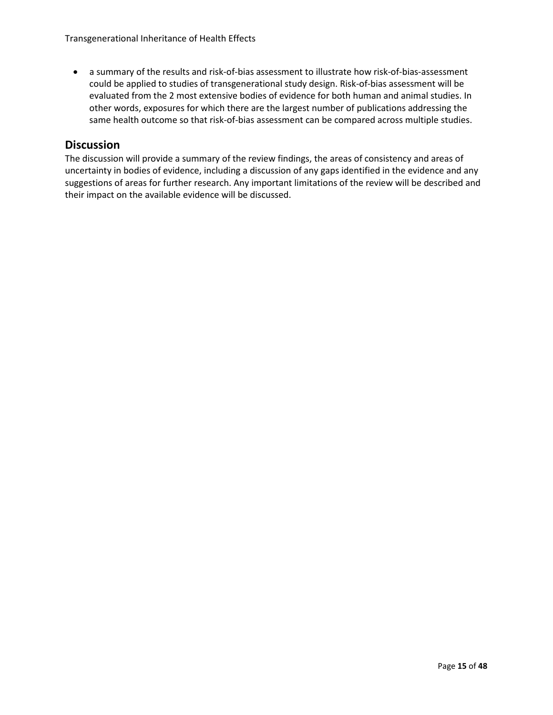• a summary of the results and risk-of-bias assessment to illustrate how risk-of-bias-assessment could be applied to studies of transgenerational study design. Risk-of-bias assessment will be evaluated from the 2 most extensive bodies of evidence for both human and animal studies. In other words, exposures for which there are the largest number of publications addressing the same health outcome so that risk-of-bias assessment can be compared across multiple studies.

# **Discussion**

The discussion will provide a summary of the review findings, the areas of consistency and areas of uncertainty in bodies of evidence, including a discussion of any gaps identified in the evidence and any suggestions of areas for further research. Any important limitations of the review will be described and their impact on the available evidence will be discussed.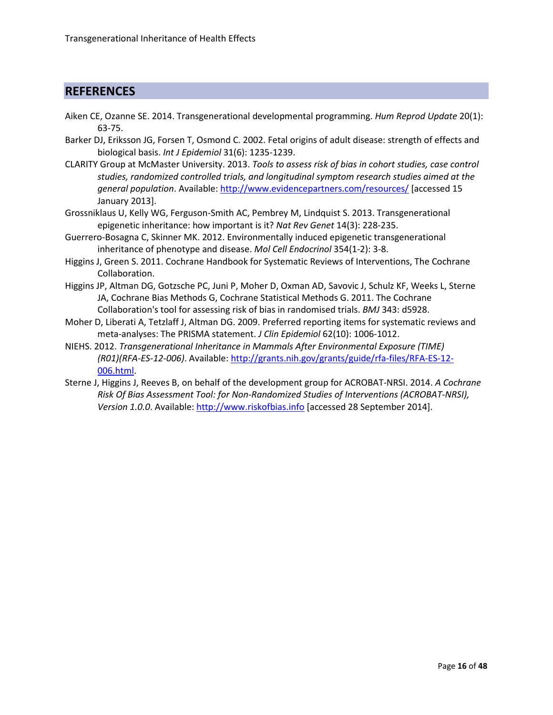# **REFERENCES**

- <span id="page-15-2"></span>Aiken CE, Ozanne SE. 2014. Transgenerational developmental programming. *Hum Reprod Update* 20(1): 63-75.
- <span id="page-15-0"></span>Barker DJ, Eriksson JG, Forsen T, Osmond C. 2002. Fetal origins of adult disease: strength of effects and biological basis. *Int J Epidemiol* 31(6): 1235-1239.
- <span id="page-15-7"></span>CLARITY Group at McMaster University. 2013. *Tools to assess risk of bias in cohort studies, case control studies, randomized controlled trials, and longitudinal symptom research studies aimed at the*  general population. Available:<http://www.evidencepartners.com/resources/> [accessed 15 January 2013].
- <span id="page-15-1"></span>Grossniklaus U, Kelly WG, Ferguson-Smith AC, Pembrey M, Lindquist S. 2013. Transgenerational epigenetic inheritance: how important is it? *Nat Rev Genet* 14(3): 228-235.
- <span id="page-15-5"></span>Guerrero-Bosagna C, Skinner MK. 2012. Environmentally induced epigenetic transgenerational inheritance of phenotype and disease. *Mol Cell Endocrinol* 354(1-2): 3-8.
- <span id="page-15-9"></span>Higgins J, Green S. 2011. Cochrane Handbook for Systematic Reviews of Interventions, The Cochrane Collaboration.
- <span id="page-15-3"></span>Higgins JP, Altman DG, Gotzsche PC, Juni P, Moher D, Oxman AD, Savovic J, Schulz KF, Weeks L, Sterne JA, Cochrane Bias Methods G, Cochrane Statistical Methods G. 2011. The Cochrane Collaboration's tool for assessing risk of bias in randomised trials. *BMJ* 343: d5928.
- <span id="page-15-6"></span>Moher D, Liberati A, Tetzlaff J, Altman DG. 2009. Preferred reporting items for systematic reviews and meta-analyses: The PRISMA statement. *J Clin Epidemiol* 62(10): 1006-1012.
- <span id="page-15-4"></span>NIEHS. 2012. *Transgenerational Inheritance in Mammals After Environmental Exposure (TIME) (R01)(RFA-ES-12-006)*. Available[: http://grants.nih.gov/grants/guide/rfa-files/RFA-ES-12-](http://grants.nih.gov/grants/guide/rfa-files/RFA-ES-12-006.html) [006.html.](http://grants.nih.gov/grants/guide/rfa-files/RFA-ES-12-006.html)
- <span id="page-15-8"></span>Sterne J, Higgins J, Reeves B, on behalf of the development group for ACROBAT-NRSI. 2014. *A Cochrane Risk Of Bias Assessment Tool: for Non-Randomized Studies of Interventions (ACROBAT-NRSI),*  Version 1.0.0. Available[: http://www.riskofbias.info](http://www.riskofbias.info/) [accessed 28 September 2014].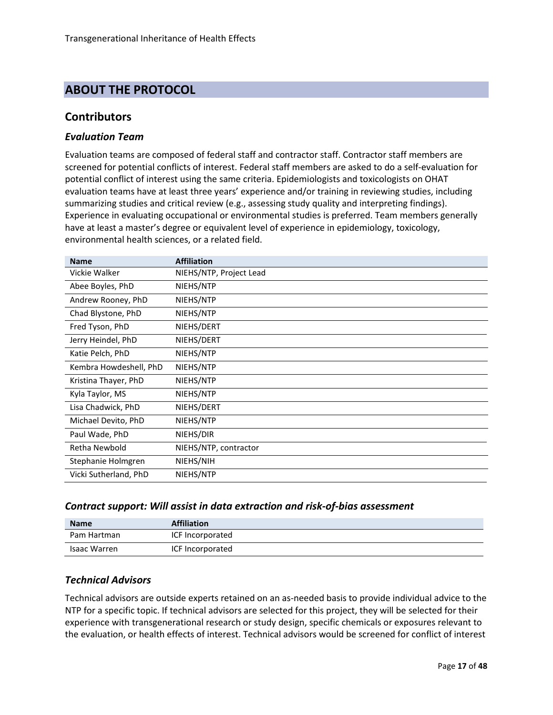# **ABOUT THE PROTOCOL**

# **Contributors**

### *Evaluation Team*

Evaluation teams are composed of federal staff and contractor staff. Contractor staff members are screened for potential conflicts of interest. Federal staff members are asked to do a self-evaluation for potential conflict of interest using the same criteria. Epidemiologists and toxicologists on OHAT evaluation teams have at least three years' experience and/or training in reviewing studies, including summarizing studies and critical review (e.g., assessing study quality and interpreting findings). Experience in evaluating occupational or environmental studies is preferred. Team members generally have at least a master's degree or equivalent level of experience in epidemiology, toxicology, environmental health sciences, or a related field.

| <b>Affiliation</b>      |
|-------------------------|
| NIEHS/NTP, Project Lead |
| NIEHS/NTP               |
| NIEHS/NTP               |
| NIEHS/NTP               |
| NIEHS/DERT              |
| NIEHS/DERT              |
| NIEHS/NTP               |
| NIEHS/NTP               |
| NIEHS/NTP               |
| NIEHS/NTP               |
| NIEHS/DERT              |
| NIEHS/NTP               |
| NIEHS/DIR               |
| NIEHS/NTP, contractor   |
| NIEHS/NIH               |
| NIEHS/NTP               |
|                         |

#### *Contract support: Will assist in data extraction and risk-of-bias assessment*

| <b>Name</b>  | <b>Affiliation</b> |  |
|--------------|--------------------|--|
| Pam Hartman  | ICF Incorporated   |  |
| Isaac Warren | ICF Incorporated   |  |

### *Technical Advisors*

Technical advisors are outside experts retained on an as-needed basis to provide individual advice to the NTP for a specific topic. If technical advisors are selected for this project, they will be selected for their experience with transgenerational research or study design, specific chemicals or exposures relevant to the evaluation, or health effects of interest. Technical advisors would be screened for conflict of interest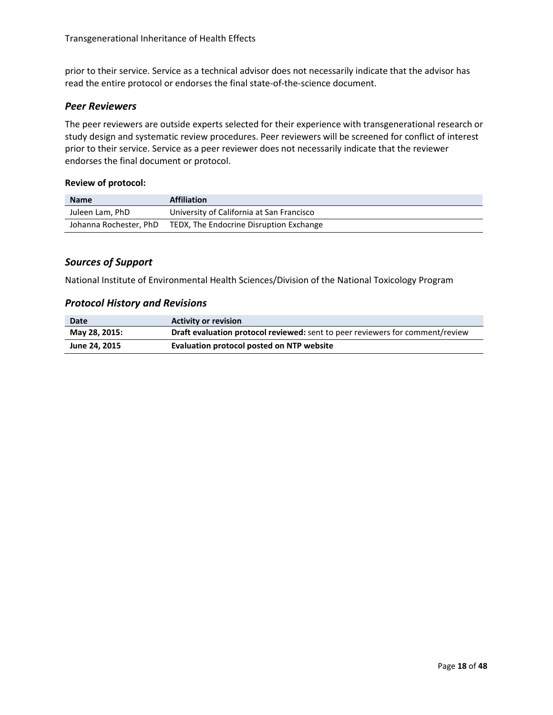prior to their service. Service as a technical advisor does not necessarily indicate that the advisor has read the entire protocol or endorses the final state-of-the-science document.

### *Peer Reviewers*

The peer reviewers are outside experts selected for their experience with transgenerational research or study design and systematic review procedures. Peer reviewers will be screened for conflict of interest prior to their service. Service as a peer reviewer does not necessarily indicate that the reviewer endorses the final document or protocol.

#### **Review of protocol:**

| <b>Name</b>            | <b>Affiliation</b>                        |
|------------------------|-------------------------------------------|
| Juleen Lam, PhD        | University of California at San Francisco |
| Johanna Rochester, PhD | TEDX, The Endocrine Disruption Exchange   |

# *Sources of Support*

National Institute of Environmental Health Sciences/Division of the National Toxicology Program

# *Protocol History and Revisions*

| Date          | <b>Activity or revision</b>                                                   |
|---------------|-------------------------------------------------------------------------------|
| May 28, 2015: | Draft evaluation protocol reviewed: sent to peer reviewers for comment/review |
| June 24, 2015 | Evaluation protocol posted on NTP website                                     |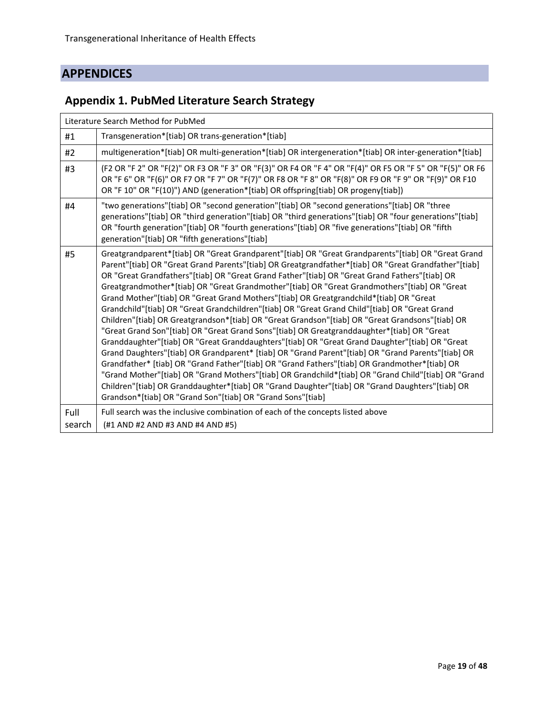# **APPENDICES**

# <span id="page-18-0"></span>**Appendix 1. PubMed Literature Search Strategy**

| Literature Search Method for PubMed |                                                                                                                                                                                                                                                                                                                                                                                                                                                                                                                                                                                                                                                                                                                                                                                                                                                                                                                                                                                                                                                                                                                                                                                                                                                                                                                                                                                             |  |
|-------------------------------------|---------------------------------------------------------------------------------------------------------------------------------------------------------------------------------------------------------------------------------------------------------------------------------------------------------------------------------------------------------------------------------------------------------------------------------------------------------------------------------------------------------------------------------------------------------------------------------------------------------------------------------------------------------------------------------------------------------------------------------------------------------------------------------------------------------------------------------------------------------------------------------------------------------------------------------------------------------------------------------------------------------------------------------------------------------------------------------------------------------------------------------------------------------------------------------------------------------------------------------------------------------------------------------------------------------------------------------------------------------------------------------------------|--|
| #1                                  | Transgeneration*[tiab] OR trans-generation*[tiab]                                                                                                                                                                                                                                                                                                                                                                                                                                                                                                                                                                                                                                                                                                                                                                                                                                                                                                                                                                                                                                                                                                                                                                                                                                                                                                                                           |  |
| #2                                  | multigeneration*[tiab] OR multi-generation*[tiab] OR intergeneration*[tiab] OR inter-generation*[tiab]                                                                                                                                                                                                                                                                                                                                                                                                                                                                                                                                                                                                                                                                                                                                                                                                                                                                                                                                                                                                                                                                                                                                                                                                                                                                                      |  |
| #3                                  | (F2 OR "F 2" OR "F(2)" OR F3 OR "F 3" OR "F(3)" OR F4 OR "F 4" OR "F(4)" OR F5 OR "F 5" OR "F(5)" OR F6<br>OR "F 6" OR "F(6)" OR F7 OR "F 7" OR "F(7)" OR F8 OR "F 8" OR "F(8)" OR F9 OR "F 9" OR "F(9)" OR F10<br>OR "F 10" OR "F(10)") AND (generation*[tiab] OR offspring[tiab] OR progeny[tiab])                                                                                                                                                                                                                                                                                                                                                                                                                                                                                                                                                                                                                                                                                                                                                                                                                                                                                                                                                                                                                                                                                        |  |
| #4                                  | "two generations"[tiab] OR "second generation"[tiab] OR "second generations"[tiab] OR "three<br>generations"[tiab] OR "third generation"[tiab] OR "third generations"[tiab] OR "four generations"[tiab]<br>OR "fourth generation"[tiab] OR "fourth generations"[tiab] OR "five generations"[tiab] OR "fifth<br>generation"[tiab] OR "fifth generations"[tiab]                                                                                                                                                                                                                                                                                                                                                                                                                                                                                                                                                                                                                                                                                                                                                                                                                                                                                                                                                                                                                               |  |
| #5                                  | Greatgrandparent*[tiab] OR "Great Grandparent"[tiab] OR "Great Grandparents"[tiab] OR "Great Grand<br>Parent"[tiab] OR "Great Grand Parents"[tiab] OR Greatgrandfather*[tiab] OR "Great Grandfather"[tiab]<br>OR "Great Grandfathers"[tiab] OR "Great Grand Father"[tiab] OR "Great Grand Fathers"[tiab] OR<br>Greatgrandmother*[tiab] OR "Great Grandmother"[tiab] OR "Great Grandmothers"[tiab] OR "Great<br>Grand Mother"[tiab] OR "Great Grand Mothers"[tiab] OR Greatgrandchild*[tiab] OR "Great<br>Grandchild"[tiab] OR "Great Grandchildren"[tiab] OR "Great Grand Child"[tiab] OR "Great Grand<br>Children"[tiab] OR Greatgrandson*[tiab] OR "Great Grandson"[tiab] OR "Great Grandsons"[tiab] OR<br>"Great Grand Son"[tiab] OR "Great Grand Sons"[tiab] OR Greatgranddaughter*[tiab] OR "Great<br>Granddaughter"[tiab] OR "Great Granddaughters"[tiab] OR "Great Grand Daughter"[tiab] OR "Great<br>Grand Daughters" [tiab] OR Grandparent* [tiab] OR "Grand Parent" [tiab] OR "Grand Parents" [tiab] OR<br>Grandfather* [tiab] OR "Grand Father"[tiab] OR "Grand Fathers"[tiab] OR Grandmother* [tiab] OR<br>"Grand Mother"[tiab] OR "Grand Mothers"[tiab] OR Grandchild*[tiab] OR "Grand Child"[tiab] OR "Grand<br>Children"[tiab] OR Granddaughter*[tiab] OR "Grand Daughter"[tiab] OR "Grand Daughters"[tiab] OR<br>Grandson*[tiab] OR "Grand Son"[tiab] OR "Grand Sons"[tiab] |  |
| Full<br>search                      | Full search was the inclusive combination of each of the concepts listed above<br>(#1 AND #2 AND #3 AND #4 AND #5)                                                                                                                                                                                                                                                                                                                                                                                                                                                                                                                                                                                                                                                                                                                                                                                                                                                                                                                                                                                                                                                                                                                                                                                                                                                                          |  |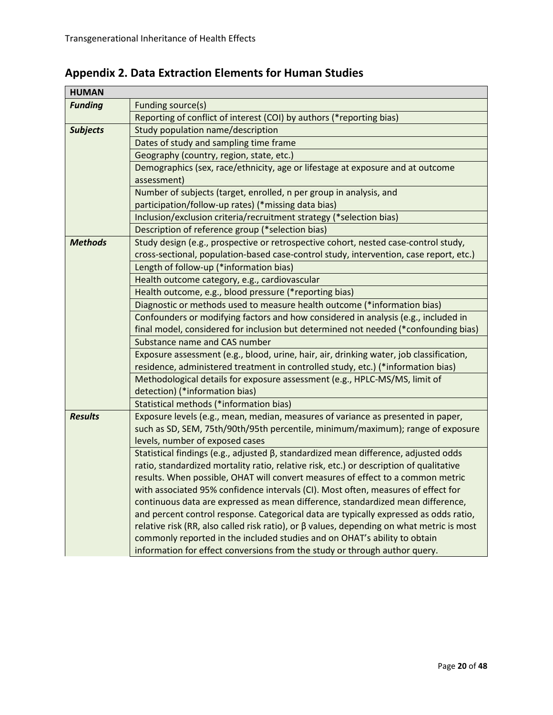| <b>HUMAN</b>    |                                                                                                 |
|-----------------|-------------------------------------------------------------------------------------------------|
| <b>Funding</b>  | Funding source(s)                                                                               |
|                 | Reporting of conflict of interest (COI) by authors (*reporting bias)                            |
| <b>Subjects</b> | Study population name/description                                                               |
|                 | Dates of study and sampling time frame                                                          |
|                 | Geography (country, region, state, etc.)                                                        |
|                 | Demographics (sex, race/ethnicity, age or lifestage at exposure and at outcome                  |
|                 | assessment)                                                                                     |
|                 | Number of subjects (target, enrolled, n per group in analysis, and                              |
|                 | participation/follow-up rates) (*missing data bias)                                             |
|                 | Inclusion/exclusion criteria/recruitment strategy (*selection bias)                             |
|                 | Description of reference group (*selection bias)                                                |
| <b>Methods</b>  | Study design (e.g., prospective or retrospective cohort, nested case-control study,             |
|                 | cross-sectional, population-based case-control study, intervention, case report, etc.)          |
|                 | Length of follow-up (*information bias)                                                         |
|                 | Health outcome category, e.g., cardiovascular                                                   |
|                 | Health outcome, e.g., blood pressure (*reporting bias)                                          |
|                 | Diagnostic or methods used to measure health outcome (*information bias)                        |
|                 | Confounders or modifying factors and how considered in analysis (e.g., included in              |
|                 | final model, considered for inclusion but determined not needed (*confounding bias)             |
|                 | Substance name and CAS number                                                                   |
|                 | Exposure assessment (e.g., blood, urine, hair, air, drinking water, job classification,         |
|                 | residence, administered treatment in controlled study, etc.) (*information bias)                |
|                 | Methodological details for exposure assessment (e.g., HPLC-MS/MS, limit of                      |
|                 | detection) (*information bias)                                                                  |
|                 | Statistical methods (*information bias)                                                         |
| <b>Results</b>  | Exposure levels (e.g., mean, median, measures of variance as presented in paper,                |
|                 | such as SD, SEM, 75th/90th/95th percentile, minimum/maximum); range of exposure                 |
|                 | levels, number of exposed cases                                                                 |
|                 | Statistical findings (e.g., adjusted β, standardized mean difference, adjusted odds             |
|                 | ratio, standardized mortality ratio, relative risk, etc.) or description of qualitative         |
|                 | results. When possible, OHAT will convert measures of effect to a common metric                 |
|                 | with associated 95% confidence intervals (CI). Most often, measures of effect for               |
|                 | continuous data are expressed as mean difference, standardized mean difference,                 |
|                 | and percent control response. Categorical data are typically expressed as odds ratio,           |
|                 | relative risk (RR, also called risk ratio), or $\beta$ values, depending on what metric is most |
|                 | commonly reported in the included studies and on OHAT's ability to obtain                       |
|                 | information for effect conversions from the study or through author query.                      |

<span id="page-19-0"></span>**Appendix 2. Data Extraction Elements for Human Studies**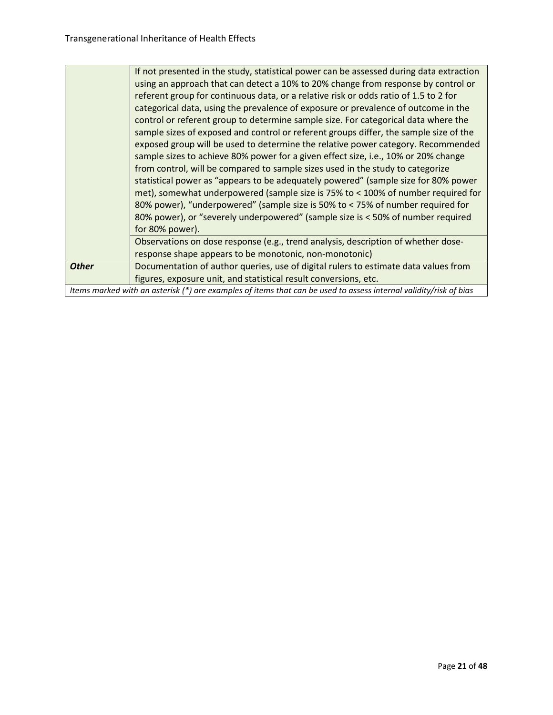|                                                                                                                   | If not presented in the study, statistical power can be assessed during data extraction |
|-------------------------------------------------------------------------------------------------------------------|-----------------------------------------------------------------------------------------|
|                                                                                                                   | using an approach that can detect a 10% to 20% change from response by control or       |
|                                                                                                                   | referent group for continuous data, or a relative risk or odds ratio of 1.5 to 2 for    |
|                                                                                                                   | categorical data, using the prevalence of exposure or prevalence of outcome in the      |
|                                                                                                                   | control or referent group to determine sample size. For categorical data where the      |
|                                                                                                                   | sample sizes of exposed and control or referent groups differ, the sample size of the   |
|                                                                                                                   | exposed group will be used to determine the relative power category. Recommended        |
|                                                                                                                   | sample sizes to achieve 80% power for a given effect size, i.e., 10% or 20% change      |
|                                                                                                                   | from control, will be compared to sample sizes used in the study to categorize          |
|                                                                                                                   | statistical power as "appears to be adequately powered" (sample size for 80% power      |
|                                                                                                                   | met), somewhat underpowered (sample size is 75% to < 100% of number required for        |
|                                                                                                                   | 80% power), "underpowered" (sample size is 50% to < 75% of number required for          |
|                                                                                                                   | 80% power), or "severely underpowered" (sample size is < 50% of number required         |
|                                                                                                                   | for 80% power).                                                                         |
|                                                                                                                   | Observations on dose response (e.g., trend analysis, description of whether dose-       |
|                                                                                                                   | response shape appears to be monotonic, non-monotonic)                                  |
| <b>Other</b>                                                                                                      | Documentation of author queries, use of digital rulers to estimate data values from     |
|                                                                                                                   | figures, exposure unit, and statistical result conversions, etc.                        |
| Items marked with an asterisk (*) are examples of items that can be used to assess internal validity/risk of bias |                                                                                         |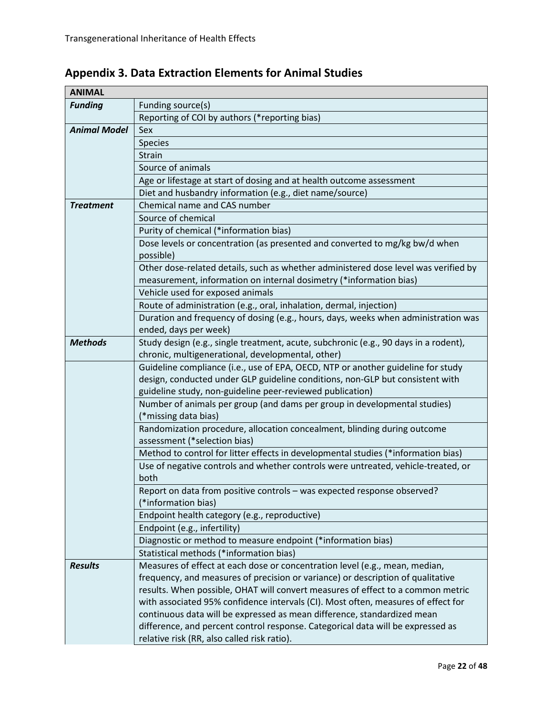| <b>ANIMAL</b>       |                                                                                                                   |  |
|---------------------|-------------------------------------------------------------------------------------------------------------------|--|
| <b>Funding</b>      | Funding source(s)                                                                                                 |  |
|                     | Reporting of COI by authors (*reporting bias)                                                                     |  |
| <b>Animal Model</b> | Sex                                                                                                               |  |
|                     | <b>Species</b>                                                                                                    |  |
|                     | <b>Strain</b>                                                                                                     |  |
|                     | Source of animals                                                                                                 |  |
|                     | Age or lifestage at start of dosing and at health outcome assessment                                              |  |
|                     | Diet and husbandry information (e.g., diet name/source)                                                           |  |
| <b>Treatment</b>    | Chemical name and CAS number                                                                                      |  |
|                     | Source of chemical                                                                                                |  |
|                     | Purity of chemical (*information bias)                                                                            |  |
|                     | Dose levels or concentration (as presented and converted to mg/kg bw/d when                                       |  |
|                     | possible)                                                                                                         |  |
|                     | Other dose-related details, such as whether administered dose level was verified by                               |  |
|                     | measurement, information on internal dosimetry (*information bias)                                                |  |
|                     | Vehicle used for exposed animals                                                                                  |  |
|                     | Route of administration (e.g., oral, inhalation, dermal, injection)                                               |  |
|                     | Duration and frequency of dosing (e.g., hours, days, weeks when administration was                                |  |
|                     | ended, days per week)                                                                                             |  |
| <b>Methods</b>      | Study design (e.g., single treatment, acute, subchronic (e.g., 90 days in a rodent),                              |  |
|                     | chronic, multigenerational, developmental, other)                                                                 |  |
|                     | Guideline compliance (i.e., use of EPA, OECD, NTP or another guideline for study                                  |  |
|                     | design, conducted under GLP guideline conditions, non-GLP but consistent with                                     |  |
|                     | guideline study, non-guideline peer-reviewed publication)                                                         |  |
|                     | Number of animals per group (and dams per group in developmental studies)                                         |  |
|                     | (*missing data bias)                                                                                              |  |
|                     | Randomization procedure, allocation concealment, blinding during outcome                                          |  |
|                     | assessment (*selection bias)<br>Method to control for litter effects in developmental studies (*information bias) |  |
|                     |                                                                                                                   |  |
|                     | Use of negative controls and whether controls were untreated, vehicle-treated, or<br>both                         |  |
|                     | Report on data from positive controls - was expected response observed?                                           |  |
|                     | (*information bias)                                                                                               |  |
|                     | Endpoint health category (e.g., reproductive)                                                                     |  |
|                     | Endpoint (e.g., infertility)                                                                                      |  |
|                     | Diagnostic or method to measure endpoint (*information bias)                                                      |  |
|                     | Statistical methods (*information bias)                                                                           |  |
| <b>Results</b>      | Measures of effect at each dose or concentration level (e.g., mean, median,                                       |  |
|                     | frequency, and measures of precision or variance) or description of qualitative                                   |  |
|                     | results. When possible, OHAT will convert measures of effect to a common metric                                   |  |
|                     | with associated 95% confidence intervals (CI). Most often, measures of effect for                                 |  |
|                     | continuous data will be expressed as mean difference, standardized mean                                           |  |
|                     | difference, and percent control response. Categorical data will be expressed as                                   |  |
|                     | relative risk (RR, also called risk ratio).                                                                       |  |

**Appendix 3. Data Extraction Elements for Animal Studies**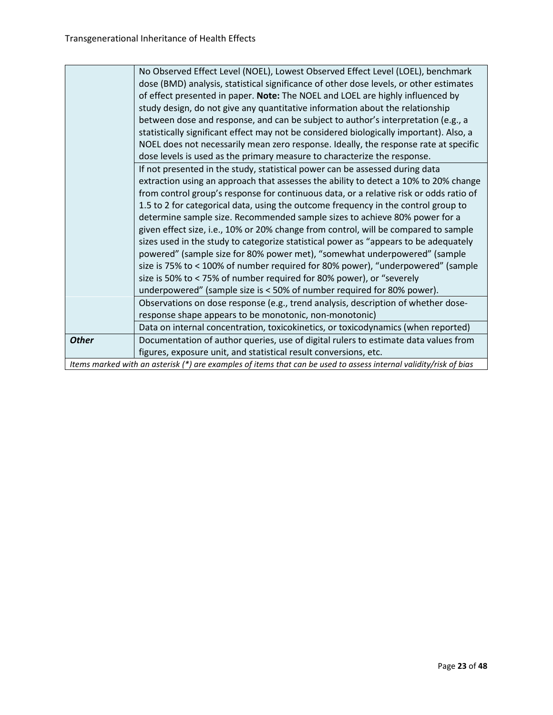|              | No Observed Effect Level (NOEL), Lowest Observed Effect Level (LOEL), benchmark                                   |
|--------------|-------------------------------------------------------------------------------------------------------------------|
|              | dose (BMD) analysis, statistical significance of other dose levels, or other estimates                            |
|              | of effect presented in paper. Note: The NOEL and LOEL are highly influenced by                                    |
|              | study design, do not give any quantitative information about the relationship                                     |
|              | between dose and response, and can be subject to author's interpretation (e.g., a                                 |
|              | statistically significant effect may not be considered biologically important). Also, a                           |
|              | NOEL does not necessarily mean zero response. Ideally, the response rate at specific                              |
|              | dose levels is used as the primary measure to characterize the response.                                          |
|              | If not presented in the study, statistical power can be assessed during data                                      |
|              | extraction using an approach that assesses the ability to detect a 10% to 20% change                              |
|              | from control group's response for continuous data, or a relative risk or odds ratio of                            |
|              | 1.5 to 2 for categorical data, using the outcome frequency in the control group to                                |
|              | determine sample size. Recommended sample sizes to achieve 80% power for a                                        |
|              | given effect size, i.e., 10% or 20% change from control, will be compared to sample                               |
|              | sizes used in the study to categorize statistical power as "appears to be adequately                              |
|              | powered" (sample size for 80% power met), "somewhat underpowered" (sample                                         |
|              | size is 75% to < 100% of number required for 80% power), "underpowered" (sample                                   |
|              | size is 50% to < 75% of number required for 80% power), or "severely                                              |
|              | underpowered" (sample size is < 50% of number required for 80% power).                                            |
|              | Observations on dose response (e.g., trend analysis, description of whether dose-                                 |
|              | response shape appears to be monotonic, non-monotonic)                                                            |
|              | Data on internal concentration, toxicokinetics, or toxicodynamics (when reported)                                 |
| <b>Other</b> | Documentation of author queries, use of digital rulers to estimate data values from                               |
|              | figures, exposure unit, and statistical result conversions, etc.                                                  |
|              | Items marked with an asterisk (*) are examples of items that can be used to assess internal validity/risk of bias |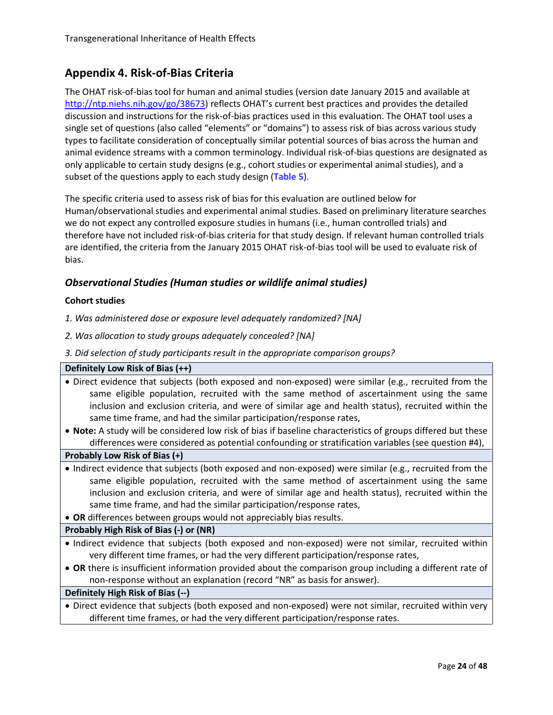# <span id="page-23-0"></span>**Appendix 4. Risk-of-Bias Criteria**

The OHAT risk-of-bias tool for human and animal studies (version date January 2015 and available at [http://ntp.niehs.nih.gov/go/38673\)](http://ntp.niehs.nih.gov/go/38673) reflects OHAT's current best practices and provides the detailed discussion and instructions for the risk-of-bias practices used in this evaluation. The OHAT tool uses a single set of questions (also called "elements" or "domains") to assess risk of bias across various study types to facilitate consideration of conceptually similar potential sources of bias across the human and animal evidence streams with a common terminology. Individual risk-of-bias questions are designated as only applicable to certain study designs (e.g., cohort studies or experimental animal studies), and a subset of the questions apply to each study design (**[Table](#page-12-0) 5**).

The specific criteria used to assess risk of bias for this evaluation are outlined below for Human/observational studies and experimental animal studies. Based on preliminary literature searches we do not expect any controlled exposure studies in humans (i.e., human controlled trials) and therefore have not included risk-of-bias criteria for that study design. If relevant human controlled trials are identified, the criteria from the January 2015 OHAT risk-of-bias tool will be used to evaluate risk of bias.

# *Observational Studies (Human studies or wildlife animal studies)*

### **Cohort studies**

*1. Was administered dose or exposure level adequately randomized? [NA]*

- *2. Was allocation to study groups adequately concealed? [NA]*
- *3. Did selection of study participants result in the appropriate comparison groups?*

| Definitely Low Risk of Bias (++)                                                                                                                                                                                                                                                                                                                                                                                                                                                              |
|-----------------------------------------------------------------------------------------------------------------------------------------------------------------------------------------------------------------------------------------------------------------------------------------------------------------------------------------------------------------------------------------------------------------------------------------------------------------------------------------------|
| · Direct evidence that subjects (both exposed and non-exposed) were similar (e.g., recruited from the<br>same eligible population, recruited with the same method of ascertainment using the same<br>inclusion and exclusion criteria, and were of similar age and health status), recruited within the<br>same time frame, and had the similar participation/response rates,<br>• Note: A study will be considered low risk of bias if baseline characteristics of groups differed but these |
| differences were considered as potential confounding or stratification variables (see question #4),<br>Probably Low Risk of Bias (+)                                                                                                                                                                                                                                                                                                                                                          |
| • Indirect evidence that subjects (both exposed and non-exposed) were similar (e.g., recruited from the<br>same eligible population, recruited with the same method of ascertainment using the same<br>inclusion and exclusion criteria, and were of similar age and health status), recruited within the<br>same time frame, and had the similar participation/response rates,<br>• OR differences between groups would not appreciably bias results.                                        |
| Probably High Risk of Bias (-) or (NR)                                                                                                                                                                                                                                                                                                                                                                                                                                                        |
| • Indirect evidence that subjects (both exposed and non-exposed) were not similar, recruited within<br>very different time frames, or had the very different participation/response rates,<br>• OR there is insufficient information provided about the comparison group including a different rate of<br>non-response without an explanation (record "NR" as basis for answer).                                                                                                              |
| Definitely High Risk of Bias (--)                                                                                                                                                                                                                                                                                                                                                                                                                                                             |
| • Direct evidence that subjects (both exposed and non-exposed) were not similar, recruited within very<br>different time frames, or had the very different participation/response rates.                                                                                                                                                                                                                                                                                                      |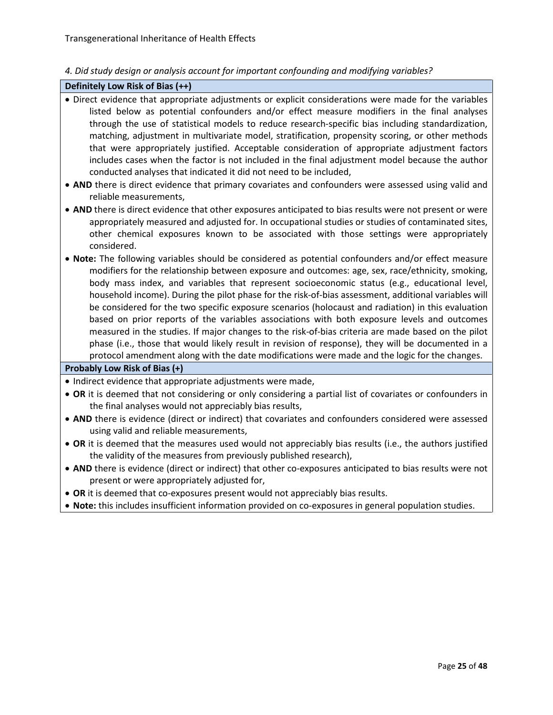# *4. Did study design or analysis account for important confounding and modifying variables?*

| Definitely Low Risk of Bias (++)                                                                                                                                                                                                                                                                                                                                                                                                                                                                                                                                                                                                                                                                                                                                                                                                                                                                                                                                                                                                                                                                                                                                                                                                                             |
|--------------------------------------------------------------------------------------------------------------------------------------------------------------------------------------------------------------------------------------------------------------------------------------------------------------------------------------------------------------------------------------------------------------------------------------------------------------------------------------------------------------------------------------------------------------------------------------------------------------------------------------------------------------------------------------------------------------------------------------------------------------------------------------------------------------------------------------------------------------------------------------------------------------------------------------------------------------------------------------------------------------------------------------------------------------------------------------------------------------------------------------------------------------------------------------------------------------------------------------------------------------|
| • Direct evidence that appropriate adjustments or explicit considerations were made for the variables<br>listed below as potential confounders and/or effect measure modifiers in the final analyses<br>through the use of statistical models to reduce research-specific bias including standardization,<br>matching, adjustment in multivariate model, stratification, propensity scoring, or other methods<br>that were appropriately justified. Acceptable consideration of appropriate adjustment factors<br>includes cases when the factor is not included in the final adjustment model because the author<br>conducted analyses that indicated it did not need to be included,<br>• AND there is direct evidence that primary covariates and confounders were assessed using valid and                                                                                                                                                                                                                                                                                                                                                                                                                                                               |
| reliable measurements,                                                                                                                                                                                                                                                                                                                                                                                                                                                                                                                                                                                                                                                                                                                                                                                                                                                                                                                                                                                                                                                                                                                                                                                                                                       |
| • AND there is direct evidence that other exposures anticipated to bias results were not present or were<br>appropriately measured and adjusted for. In occupational studies or studies of contaminated sites,<br>other chemical exposures known to be associated with those settings were appropriately<br>considered.<br>. Note: The following variables should be considered as potential confounders and/or effect measure<br>modifiers for the relationship between exposure and outcomes: age, sex, race/ethnicity, smoking,<br>body mass index, and variables that represent socioeconomic status (e.g., educational level,<br>household income). During the pilot phase for the risk-of-bias assessment, additional variables will<br>be considered for the two specific exposure scenarios (holocaust and radiation) in this evaluation<br>based on prior reports of the variables associations with both exposure levels and outcomes<br>measured in the studies. If major changes to the risk-of-bias criteria are made based on the pilot<br>phase (i.e., those that would likely result in revision of response), they will be documented in a<br>protocol amendment along with the date modifications were made and the logic for the changes. |
| Probably Low Risk of Bias (+)                                                                                                                                                                                                                                                                                                                                                                                                                                                                                                                                                                                                                                                                                                                                                                                                                                                                                                                                                                                                                                                                                                                                                                                                                                |
| • Indirect evidence that appropriate adjustments were made,<br>• OR it is deemed that not considering or only considering a partial list of covariates or confounders in<br>the final analyses would not appreciably bias results,                                                                                                                                                                                                                                                                                                                                                                                                                                                                                                                                                                                                                                                                                                                                                                                                                                                                                                                                                                                                                           |
| • AND there is evidence (direct or indirect) that covariates and confounders considered were assessed<br>using valid and reliable measurements,                                                                                                                                                                                                                                                                                                                                                                                                                                                                                                                                                                                                                                                                                                                                                                                                                                                                                                                                                                                                                                                                                                              |
| • OR it is deemed that the measures used would not appreciably bias results (i.e., the authors justified<br>the validity of the measures from previously published research),                                                                                                                                                                                                                                                                                                                                                                                                                                                                                                                                                                                                                                                                                                                                                                                                                                                                                                                                                                                                                                                                                |
| • AND there is evidence (direct or indirect) that other co-exposures anticipated to bias results were not<br>present or were appropriately adjusted for,                                                                                                                                                                                                                                                                                                                                                                                                                                                                                                                                                                                                                                                                                                                                                                                                                                                                                                                                                                                                                                                                                                     |

- **OR** it is deemed that co-exposures present would not appreciably bias results.
- **Note:** this includes insufficient information provided on co-exposures in general population studies.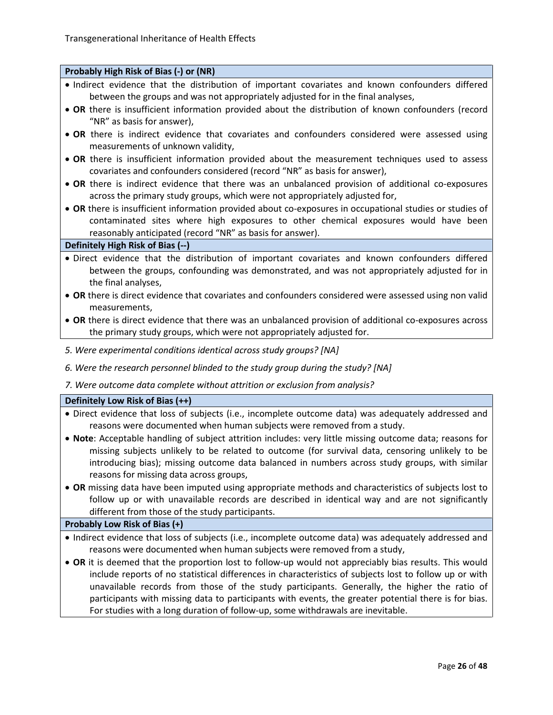| Probably High Risk of Bias (-) or (NR)                                                                                                                                                                                                                                                                                                                  |
|---------------------------------------------------------------------------------------------------------------------------------------------------------------------------------------------------------------------------------------------------------------------------------------------------------------------------------------------------------|
| • Indirect evidence that the distribution of important covariates and known confounders differed                                                                                                                                                                                                                                                        |
| between the groups and was not appropriately adjusted for in the final analyses,                                                                                                                                                                                                                                                                        |
| • OR there is insufficient information provided about the distribution of known confounders (record<br>"NR" as basis for answer),                                                                                                                                                                                                                       |
| . OR there is indirect evidence that covariates and confounders considered were assessed using<br>measurements of unknown validity,                                                                                                                                                                                                                     |
| • OR there is insufficient information provided about the measurement techniques used to assess<br>covariates and confounders considered (record "NR" as basis for answer),                                                                                                                                                                             |
| • OR there is indirect evidence that there was an unbalanced provision of additional co-exposures<br>across the primary study groups, which were not appropriately adjusted for,                                                                                                                                                                        |
| • OR there is insufficient information provided about co-exposures in occupational studies or studies of<br>contaminated sites where high exposures to other chemical exposures would have been<br>reasonably anticipated (record "NR" as basis for answer).                                                                                            |
| Definitely High Risk of Bias (--)                                                                                                                                                                                                                                                                                                                       |
| · Direct evidence that the distribution of important covariates and known confounders differed<br>between the groups, confounding was demonstrated, and was not appropriately adjusted for in<br>the final analyses,                                                                                                                                    |
| • OR there is direct evidence that covariates and confounders considered were assessed using non valid<br>measurements,                                                                                                                                                                                                                                 |
| • OR there is direct evidence that there was an unbalanced provision of additional co-exposures across<br>the primary study groups, which were not appropriately adjusted for.                                                                                                                                                                          |
| 5. Were experimental conditions identical across study groups? [NA]                                                                                                                                                                                                                                                                                     |
| 6. Were the research personnel blinded to the study group during the study? [NA]                                                                                                                                                                                                                                                                        |
| 7. Were outcome data complete without attrition or exclusion from analysis?                                                                                                                                                                                                                                                                             |
| Definitely Low Risk of Bias (++)                                                                                                                                                                                                                                                                                                                        |
| • Direct evidence that loss of subjects (i.e., incomplete outcome data) was adequately addressed and<br>reasons were documented when human subjects were removed from a study.                                                                                                                                                                          |
| . Note: Acceptable handling of subject attrition includes: very little missing outcome data; reasons for<br>missing subjects unlikely to be related to outcome (for survival data, censoring unlikely to be<br>introducing bias); missing outcome data balanced in numbers across study groups, with similar<br>reasons for missing data across groups, |
| • OR missing data have been imputed using appropriate methods and characteristics of subjects lost to<br>follow up or with unavailable records are described in identical way and are not significantly<br>different from those of the study participants.                                                                                              |

# **Probably Low Risk of Bias (+)**

- Indirect evidence that loss of subjects (i.e., incomplete outcome data) was adequately addressed and reasons were documented when human subjects were removed from a study,
- **OR** it is deemed that the proportion lost to follow-up would not appreciably bias results. This would include reports of no statistical differences in characteristics of subjects lost to follow up or with unavailable records from those of the study participants. Generally, the higher the ratio of participants with missing data to participants with events, the greater potential there is for bias. For studies with a long duration of follow-up, some withdrawals are inevitable.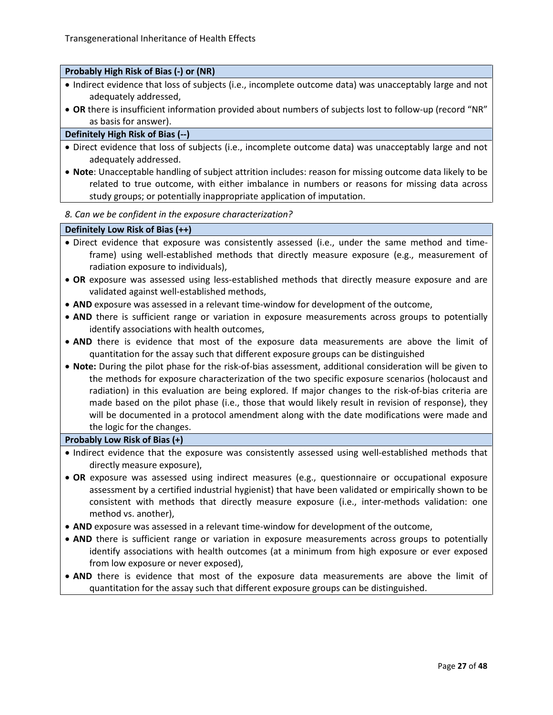- Indirect evidence that loss of subjects (i.e., incomplete outcome data) was unacceptably large and not adequately addressed,
- **OR** there is insufficient information provided about numbers of subjects lost to follow-up (record "NR" as basis for answer).

#### **Definitely High Risk of Bias (--)**

- Direct evidence that loss of subjects (i.e., incomplete outcome data) was unacceptably large and not adequately addressed.
- **Note**: Unacceptable handling of subject attrition includes: reason for missing outcome data likely to be related to true outcome, with either imbalance in numbers or reasons for missing data across study groups; or potentially inappropriate application of imputation.
- *8. Can we be confident in the exposure characterization?*

#### **Definitely Low Risk of Bias (++)**

- Direct evidence that exposure was consistently assessed (i.e., under the same method and timeframe) using well-established methods that directly measure exposure (e.g., measurement of radiation exposure to individuals),
- **OR** exposure was assessed using less-established methods that directly measure exposure and are validated against well-established methods,
- **AND** exposure was assessed in a relevant time-window for development of the outcome,
- **AND** there is sufficient range or variation in exposure measurements across groups to potentially identify associations with health outcomes,
- **AND** there is evidence that most of the exposure data measurements are above the limit of quantitation for the assay such that different exposure groups can be distinguished
- **Note:** During the pilot phase for the risk-of-bias assessment, additional consideration will be given to the methods for exposure characterization of the two specific exposure scenarios (holocaust and radiation) in this evaluation are being explored. If major changes to the risk-of-bias criteria are made based on the pilot phase (i.e., those that would likely result in revision of response), they will be documented in a protocol amendment along with the date modifications were made and the logic for the changes.

#### **Probably Low Risk of Bias (+)**

- Indirect evidence that the exposure was consistently assessed using well-established methods that directly measure exposure),
- **OR** exposure was assessed using indirect measures (e.g., questionnaire or occupational exposure assessment by a certified industrial hygienist) that have been validated or empirically shown to be consistent with methods that directly measure exposure (i.e., inter-methods validation: one method vs. another),
- **AND** exposure was assessed in a relevant time-window for development of the outcome,
- **AND** there is sufficient range or variation in exposure measurements across groups to potentially identify associations with health outcomes (at a minimum from high exposure or ever exposed from low exposure or never exposed),
- **AND** there is evidence that most of the exposure data measurements are above the limit of quantitation for the assay such that different exposure groups can be distinguished.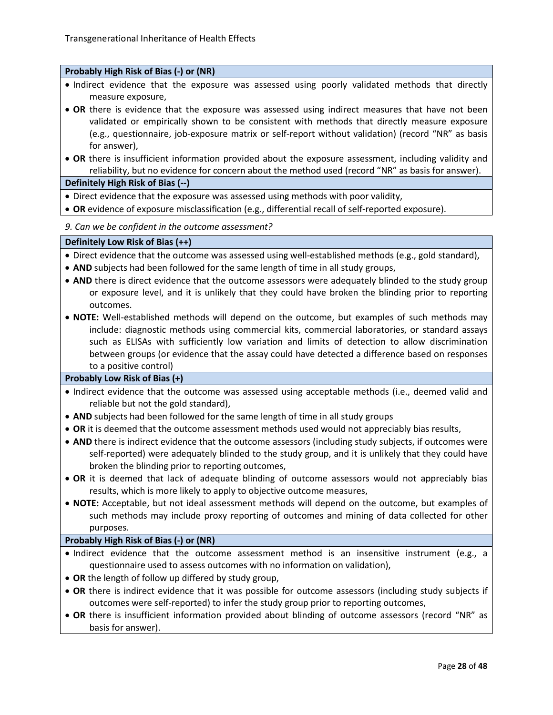- Indirect evidence that the exposure was assessed using poorly validated methods that directly measure exposure,
- **OR** there is evidence that the exposure was assessed using indirect measures that have not been validated or empirically shown to be consistent with methods that directly measure exposure (e.g., questionnaire, job-exposure matrix or self-report without validation) (record "NR" as basis for answer),
- **OR** there is insufficient information provided about the exposure assessment, including validity and reliability, but no evidence for concern about the method used (record "NR" as basis for answer).

#### **Definitely High Risk of Bias (--)**

- Direct evidence that the exposure was assessed using methods with poor validity,
- **OR** evidence of exposure misclassification (e.g., differential recall of self-reported exposure).

#### *9. Can we be confident in the outcome assessment?*

#### **Definitely Low Risk of Bias (++)**

- Direct evidence that the outcome was assessed using well-established methods (e.g., gold standard),
- **AND** subjects had been followed for the same length of time in all study groups,
- AND there is direct evidence that the outcome assessors were adequately blinded to the study group or exposure level, and it is unlikely that they could have broken the blinding prior to reporting outcomes.
- **NOTE:** Well-established methods will depend on the outcome, but examples of such methods may include: diagnostic methods using commercial kits, commercial laboratories, or standard assays such as ELISAs with sufficiently low variation and limits of detection to allow discrimination between groups (or evidence that the assay could have detected a difference based on responses to a positive control)

#### **Probably Low Risk of Bias (+)**

- Indirect evidence that the outcome was assessed using acceptable methods (i.e., deemed valid and reliable but not the gold standard),
- **AND** subjects had been followed for the same length of time in all study groups
- **OR** it is deemed that the outcome assessment methods used would not appreciably bias results,
- **AND** there is indirect evidence that the outcome assessors (including study subjects, if outcomes were self-reported) were adequately blinded to the study group, and it is unlikely that they could have broken the blinding prior to reporting outcomes,
- **OR** it is deemed that lack of adequate blinding of outcome assessors would not appreciably bias results, which is more likely to apply to objective outcome measures,
- **NOTE:** Acceptable, but not ideal assessment methods will depend on the outcome, but examples of such methods may include proxy reporting of outcomes and mining of data collected for other purposes.

### **Probably High Risk of Bias (-) or (NR)**

- Indirect evidence that the outcome assessment method is an insensitive instrument (e.g., a questionnaire used to assess outcomes with no information on validation),
- **OR** the length of follow up differed by study group,
- **OR** there is indirect evidence that it was possible for outcome assessors (including study subjects if outcomes were self-reported) to infer the study group prior to reporting outcomes,
- **OR** there is insufficient information provided about blinding of outcome assessors (record "NR" as basis for answer).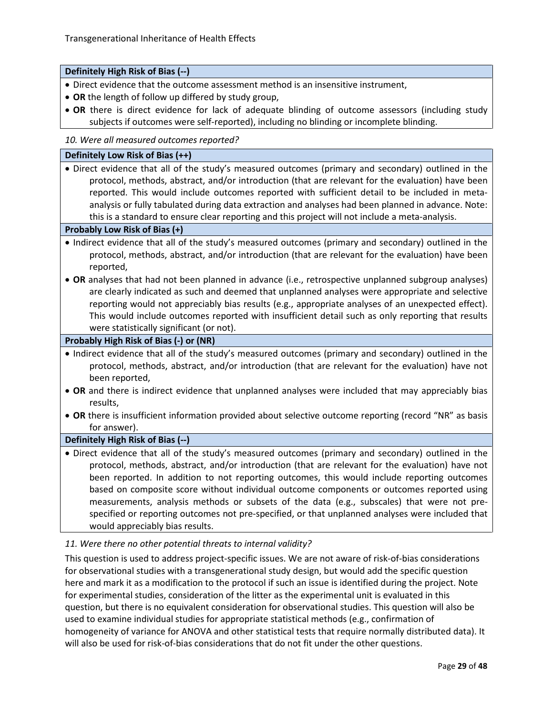**Definitely High Risk of Bias (--)**

# • Direct evidence that the outcome assessment method is an insensitive instrument, • **OR** the length of follow up differed by study group, • **OR** there is direct evidence for lack of adequate blinding of outcome assessors (including study subjects if outcomes were self-reported), including no blinding or incomplete blinding. *10. Were all measured outcomes reported?* **Definitely Low Risk of Bias (++)** • Direct evidence that all of the study's measured outcomes (primary and secondary) outlined in the protocol, methods, abstract, and/or introduction (that are relevant for the evaluation) have been reported. This would include outcomes reported with sufficient detail to be included in metaanalysis or fully tabulated during data extraction and analyses had been planned in advance. Note: this is a standard to ensure clear reporting and this project will not include a meta-analysis. **Probably Low Risk of Bias (+)** • Indirect evidence that all of the study's measured outcomes (primary and secondary) outlined in the protocol, methods, abstract, and/or introduction (that are relevant for the evaluation) have been reported, • **OR** analyses that had not been planned in advance (i.e., retrospective unplanned subgroup analyses) are clearly indicated as such and deemed that unplanned analyses were appropriate and selective reporting would not appreciably bias results (e.g., appropriate analyses of an unexpected effect). This would include outcomes reported with insufficient detail such as only reporting that results were statistically significant (or not). **Probably High Risk of Bias (-) or (NR)** • Indirect evidence that all of the study's measured outcomes (primary and secondary) outlined in the protocol, methods, abstract, and/or introduction (that are relevant for the evaluation) have not been reported, • **OR** and there is indirect evidence that unplanned analyses were included that may appreciably bias results, • **OR** there is insufficient information provided about selective outcome reporting (record "NR" as basis for answer). **Definitely High Risk of Bias (--)** • Direct evidence that all of the study's measured outcomes (primary and secondary) outlined in the protocol, methods, abstract, and/or introduction (that are relevant for the evaluation) have not been reported. In addition to not reporting outcomes, this would include reporting outcomes based on composite score without individual outcome components or outcomes reported using measurements, analysis methods or subsets of the data (e.g., subscales) that were not prespecified or reporting outcomes not pre-specified, or that unplanned analyses were included that would appreciably bias results.

### *11. Were there no other potential threats to internal validity?*

This question is used to address project-specific issues. We are not aware of risk-of-bias considerations for observational studies with a transgenerational study design, but would add the specific question here and mark it as a modification to the protocol if such an issue is identified during the project. Note for experimental studies, consideration of the litter as the experimental unit is evaluated in this question, but there is no equivalent consideration for observational studies. This question will also be used to examine individual studies for appropriate statistical methods (e.g., confirmation of homogeneity of variance for ANOVA and other statistical tests that require normally distributed data). It will also be used for risk-of-bias considerations that do not fit under the other questions.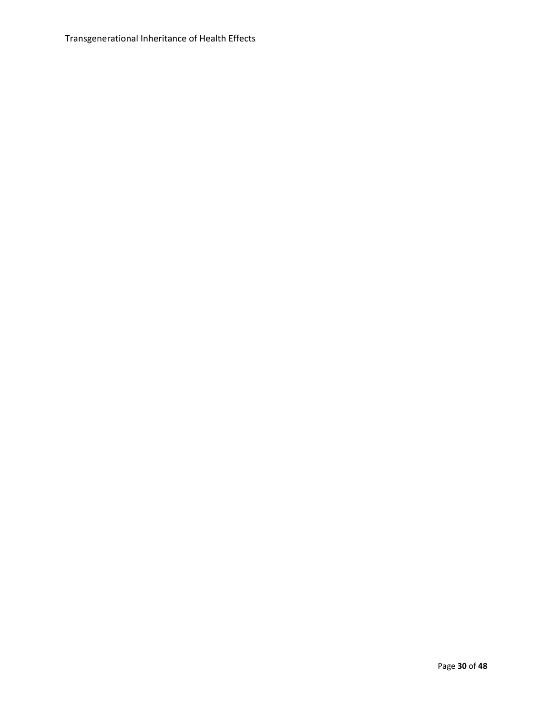Transgenerational Inheritance of Health Effects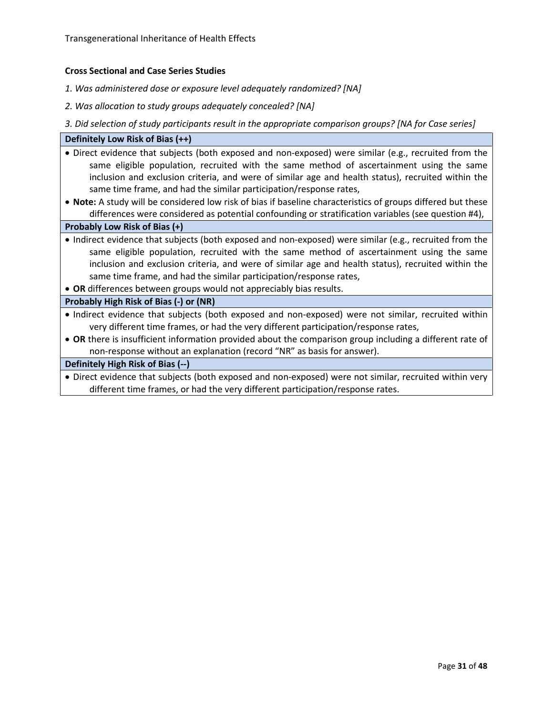## **Cross Sectional and Case Series Studies**

- *1. Was administered dose or exposure level adequately randomized? [NA]*
- *2. Was allocation to study groups adequately concealed? [NA]*
- *3. Did selection of study participants result in the appropriate comparison groups? [NA for Case series]*

| Definitely Low Risk of Bias (++)                                                                             |
|--------------------------------------------------------------------------------------------------------------|
| • Direct evidence that subjects (both exposed and non-exposed) were similar (e.g., recruited from the        |
| same eligible population, recruited with the same method of ascertainment using the same                     |
| inclusion and exclusion criteria, and were of similar age and health status), recruited within the           |
| same time frame, and had the similar participation/response rates,                                           |
| • Note: A study will be considered low risk of bias if baseline characteristics of groups differed but these |
| differences were considered as potential confounding or stratification variables (see question #4),          |
| Probably Low Risk of Bias (+)                                                                                |
| • Indirect evidence that subjects (both exposed and non-exposed) were similar (e.g., recruited from the      |
| same eligible population, recruited with the same method of ascertainment using the same                     |
| inclusion and exclusion criteria, and were of similar age and health status), recruited within the           |
| same time frame, and had the similar participation/response rates,                                           |
| • OR differences between groups would not appreciably bias results.                                          |
| Probably High Risk of Bias (-) or (NR)                                                                       |
| • Indirect evidence that subjects (both exposed and non-exposed) were not similar, recruited within          |
| very different time frames, or had the very different participation/response rates,                          |
| • OR there is insufficient information provided about the comparison group including a different rate of     |
| non-response without an explanation (record "NR" as basis for answer).                                       |
| Definitely High Risk of Bias (--)                                                                            |
| • Direct evidence that subjects (both exposed and non-exposed) were not similar, recruited within very       |

different time frames, or had the very different participation/response rates.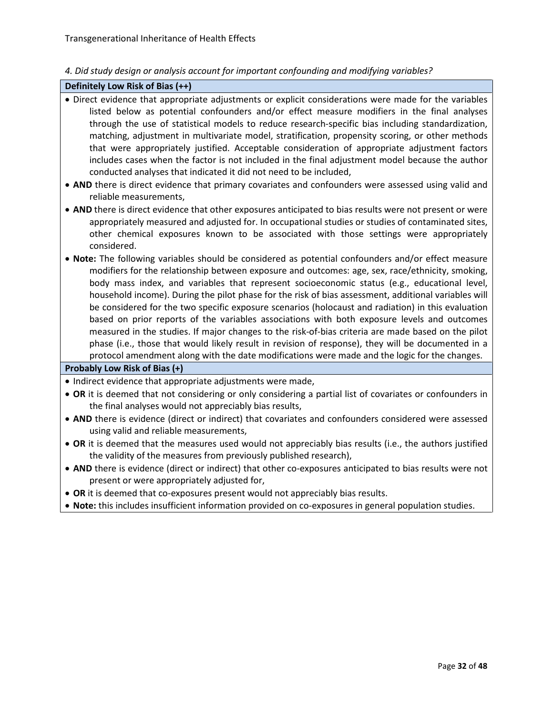# *4. Did study design or analysis account for important confounding and modifying variables?*

| Definitely Low Risk of Bias (++)                                                                                                                                                                                                                                                                                                                                                                                                                                                                                                                                                                                                                                                                                                                                                                                           |
|----------------------------------------------------------------------------------------------------------------------------------------------------------------------------------------------------------------------------------------------------------------------------------------------------------------------------------------------------------------------------------------------------------------------------------------------------------------------------------------------------------------------------------------------------------------------------------------------------------------------------------------------------------------------------------------------------------------------------------------------------------------------------------------------------------------------------|
| • Direct evidence that appropriate adjustments or explicit considerations were made for the variables<br>listed below as potential confounders and/or effect measure modifiers in the final analyses<br>through the use of statistical models to reduce research-specific bias including standardization,<br>matching, adjustment in multivariate model, stratification, propensity scoring, or other methods<br>that were appropriately justified. Acceptable consideration of appropriate adjustment factors<br>includes cases when the factor is not included in the final adjustment model because the author<br>conducted analyses that indicated it did not need to be included,                                                                                                                                     |
| • AND there is direct evidence that primary covariates and confounders were assessed using valid and<br>reliable measurements,                                                                                                                                                                                                                                                                                                                                                                                                                                                                                                                                                                                                                                                                                             |
| • AND there is direct evidence that other exposures anticipated to bias results were not present or were<br>appropriately measured and adjusted for. In occupational studies or studies of contaminated sites,<br>other chemical exposures known to be associated with those settings were appropriately<br>considered.<br>. Note: The following variables should be considered as potential confounders and/or effect measure                                                                                                                                                                                                                                                                                                                                                                                             |
| modifiers for the relationship between exposure and outcomes: age, sex, race/ethnicity, smoking,<br>body mass index, and variables that represent socioeconomic status (e.g., educational level,<br>household income). During the pilot phase for the risk of bias assessment, additional variables will<br>be considered for the two specific exposure scenarios (holocaust and radiation) in this evaluation<br>based on prior reports of the variables associations with both exposure levels and outcomes<br>measured in the studies. If major changes to the risk-of-bias criteria are made based on the pilot<br>phase (i.e., those that would likely result in revision of response), they will be documented in a<br>protocol amendment along with the date modifications were made and the logic for the changes. |
| Probably Low Risk of Bias (+)                                                                                                                                                                                                                                                                                                                                                                                                                                                                                                                                                                                                                                                                                                                                                                                              |
| • Indirect evidence that appropriate adjustments were made,<br>• OR it is deemed that not considering or only considering a partial list of covariates or confounders in<br>the final analyses would not appreciably bias results,                                                                                                                                                                                                                                                                                                                                                                                                                                                                                                                                                                                         |
| • AND there is evidence (direct or indirect) that covariates and confounders considered were assessed<br>using valid and reliable measurements,                                                                                                                                                                                                                                                                                                                                                                                                                                                                                                                                                                                                                                                                            |
| • OR it is deemed that the measures used would not appreciably bias results (i.e., the authors justified<br>the validity of the measures from previously published research),                                                                                                                                                                                                                                                                                                                                                                                                                                                                                                                                                                                                                                              |
| • AND there is evidence (direct or indirect) that other co-exposures anticipated to bias results were not<br>present or were appropriately adjusted for,                                                                                                                                                                                                                                                                                                                                                                                                                                                                                                                                                                                                                                                                   |

- **OR** it is deemed that co-exposures present would not appreciably bias results.
- **Note:** this includes insufficient information provided on co-exposures in general population studies.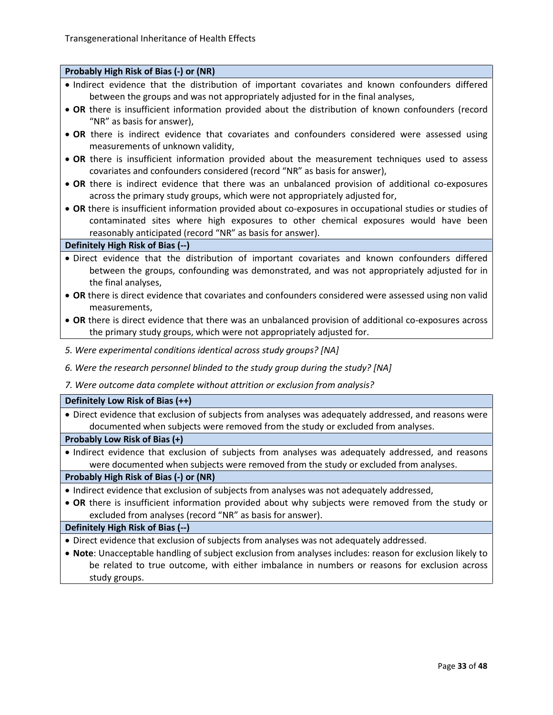| Probably High Risk of Bias (-) or (NR)                                                                                                                                                                                                                       |  |
|--------------------------------------------------------------------------------------------------------------------------------------------------------------------------------------------------------------------------------------------------------------|--|
| • Indirect evidence that the distribution of important covariates and known confounders differed                                                                                                                                                             |  |
| between the groups and was not appropriately adjusted for in the final analyses,                                                                                                                                                                             |  |
| • OR there is insufficient information provided about the distribution of known confounders (record<br>"NR" as basis for answer),                                                                                                                            |  |
| • OR there is indirect evidence that covariates and confounders considered were assessed using<br>measurements of unknown validity,                                                                                                                          |  |
| • OR there is insufficient information provided about the measurement techniques used to assess<br>covariates and confounders considered (record "NR" as basis for answer),                                                                                  |  |
| • OR there is indirect evidence that there was an unbalanced provision of additional co-exposures<br>across the primary study groups, which were not appropriately adjusted for,                                                                             |  |
| • OR there is insufficient information provided about co-exposures in occupational studies or studies of<br>contaminated sites where high exposures to other chemical exposures would have been<br>reasonably anticipated (record "NR" as basis for answer). |  |
| Definitely High Risk of Bias (--)                                                                                                                                                                                                                            |  |
| • Direct evidence that the distribution of important covariates and known confounders differed<br>between the groups, confounding was demonstrated, and was not appropriately adjusted for in<br>the final analyses,                                         |  |
| • OR there is direct evidence that covariates and confounders considered were assessed using non valid<br>measurements,                                                                                                                                      |  |
| • OR there is direct evidence that there was an unbalanced provision of additional co-exposures across<br>the primary study groups, which were not appropriately adjusted for.                                                                               |  |
| 5. Were experimental conditions identical across study groups? [NA]                                                                                                                                                                                          |  |
| 6. Were the research personnel blinded to the study group during the study? [NA]                                                                                                                                                                             |  |
| 7. Were outcome data complete without attrition or exclusion from analysis?                                                                                                                                                                                  |  |
| Definitely Low Risk of Bias (++)                                                                                                                                                                                                                             |  |
| • Direct evidence that exclusion of subjects from analyses was adequately addressed, and reasons were                                                                                                                                                        |  |

documented when subjects were removed from the study or excluded from analyses.

#### **Probably Low Risk of Bias (+)**

• Indirect evidence that exclusion of subjects from analyses was adequately addressed, and reasons were documented when subjects were removed from the study or excluded from analyses.

#### **Probably High Risk of Bias (-) or (NR)**

- Indirect evidence that exclusion of subjects from analyses was not adequately addressed,
- **OR** there is insufficient information provided about why subjects were removed from the study or excluded from analyses (record "NR" as basis for answer).

#### **Definitely High Risk of Bias (--)**

- Direct evidence that exclusion of subjects from analyses was not adequately addressed.
- **Note**: Unacceptable handling of subject exclusion from analyses includes: reason for exclusion likely to be related to true outcome, with either imbalance in numbers or reasons for exclusion across study groups.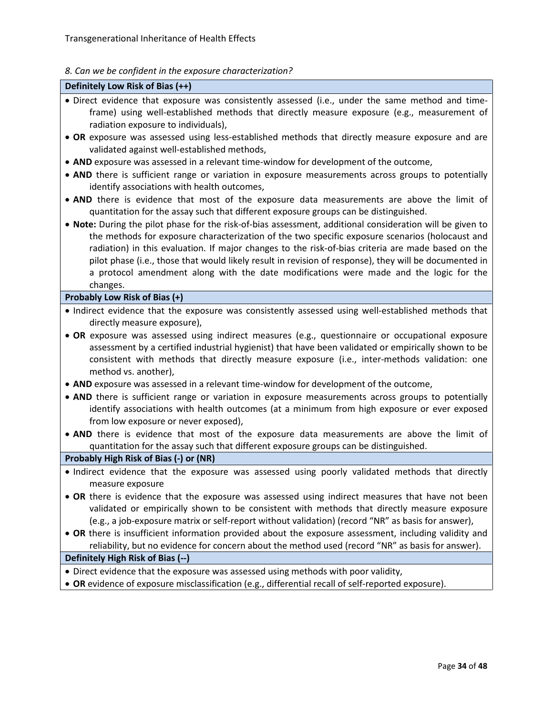# *8. Can we be confident in the exposure characterization?*

| we be compact to the exposure characterizat                                                                                                                                                                                                                                                                                    |
|--------------------------------------------------------------------------------------------------------------------------------------------------------------------------------------------------------------------------------------------------------------------------------------------------------------------------------|
| Definitely Low Risk of Bias (++)                                                                                                                                                                                                                                                                                               |
| . Direct evidence that exposure was consistently assessed (i.e., under the same method and time-<br>frame) using well-established methods that directly measure exposure (e.g., measurement of<br>radiation exposure to individuals),                                                                                          |
| • OR exposure was assessed using less-established methods that directly measure exposure and are<br>validated against well-established methods,                                                                                                                                                                                |
| • AND exposure was assessed in a relevant time-window for development of the outcome,                                                                                                                                                                                                                                          |
| • AND there is sufficient range or variation in exposure measurements across groups to potentially<br>identify associations with health outcomes,                                                                                                                                                                              |
| . AND there is evidence that most of the exposure data measurements are above the limit of<br>quantitation for the assay such that different exposure groups can be distinguished.                                                                                                                                             |
| . Note: During the pilot phase for the risk-of-bias assessment, additional consideration will be given to                                                                                                                                                                                                                      |
| the methods for exposure characterization of the two specific exposure scenarios (holocaust and                                                                                                                                                                                                                                |
| radiation) in this evaluation. If major changes to the risk-of-bias criteria are made based on the                                                                                                                                                                                                                             |
| pilot phase (i.e., those that would likely result in revision of response), they will be documented in                                                                                                                                                                                                                         |
| a protocol amendment along with the date modifications were made and the logic for the                                                                                                                                                                                                                                         |
| changes.                                                                                                                                                                                                                                                                                                                       |
| Probably Low Risk of Bias (+)                                                                                                                                                                                                                                                                                                  |
| . Indirect evidence that the exposure was consistently assessed using well-established methods that                                                                                                                                                                                                                            |
| directly measure exposure),                                                                                                                                                                                                                                                                                                    |
| . OR exposure was assessed using indirect measures (e.g., questionnaire or occupational exposure<br>assessment by a certified industrial hygienist) that have been validated or empirically shown to be<br>consistent with methods that directly measure exposure (i.e., inter-methods validation: one<br>method vs. another), |
| • AND exposure was assessed in a relevant time-window for development of the outcome,                                                                                                                                                                                                                                          |
| • AND there is sufficient range or variation in exposure measurements across groups to potentially                                                                                                                                                                                                                             |
| identify associations with health outcomes (at a minimum from high exposure or ever exposed                                                                                                                                                                                                                                    |
| from low exposure or never exposed),                                                                                                                                                                                                                                                                                           |
| • AND there is evidence that most of the exposure data measurements are above the limit of                                                                                                                                                                                                                                     |
| quantitation for the assay such that different exposure groups can be distinguished.                                                                                                                                                                                                                                           |
| Probably High Risk of Bias (-) or (NR)                                                                                                                                                                                                                                                                                         |
| . Indirect evidence that the exposure was assessed using poorly validated methods that directly                                                                                                                                                                                                                                |
| measure exposure                                                                                                                                                                                                                                                                                                               |
| • OR there is evidence that the exposure was assessed using indirect measures that have not been                                                                                                                                                                                                                               |
| validated or empirically shown to be consistent with methods that directly measure exposure                                                                                                                                                                                                                                    |
| (e.g., a job-exposure matrix or self-report without validation) (record "NR" as basis for answer),                                                                                                                                                                                                                             |
| • OR there is insufficient information provided about the exposure assessment, including validity and                                                                                                                                                                                                                          |
| reliability, but no evidence for concern about the method used (record "NR" as basis for answer).                                                                                                                                                                                                                              |
| Definitely High Risk of Bias (--)                                                                                                                                                                                                                                                                                              |
| • Direct evidence that the exposure was assessed using methods with poor validity,                                                                                                                                                                                                                                             |
| • OR evidence of exposure misclassification (e.g., differential recall of self-reported exposure).                                                                                                                                                                                                                             |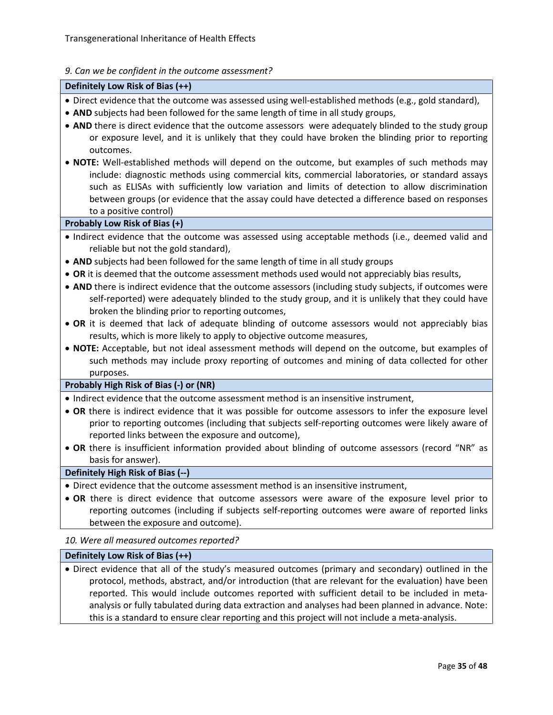*9. Can we be confident in the outcome assessment?*

| Definitely Low Risk of Bias (++)                                                                                         |  |
|--------------------------------------------------------------------------------------------------------------------------|--|
| • Direct evidence that the outcome was assessed using well-established methods (e.g., gold standard),                    |  |
| • AND subjects had been followed for the same length of time in all study groups,                                        |  |
| • AND there is direct evidence that the outcome assessors were adequately blinded to the study group                     |  |
| or exposure level, and it is unlikely that they could have broken the blinding prior to reporting                        |  |
|                                                                                                                          |  |
| outcomes.<br>• NOTE: Well-established methods will depend on the outcome, but examples of such methods may               |  |
|                                                                                                                          |  |
| include: diagnostic methods using commercial kits, commercial laboratories, or standard assays                           |  |
| such as ELISAs with sufficiently low variation and limits of detection to allow discrimination                           |  |
| between groups (or evidence that the assay could have detected a difference based on responses<br>to a positive control) |  |
| Probably Low Risk of Bias (+)                                                                                            |  |
| · Indirect evidence that the outcome was assessed using acceptable methods (i.e., deemed valid and                       |  |
| reliable but not the gold standard),                                                                                     |  |
| • AND subjects had been followed for the same length of time in all study groups                                         |  |
| • OR it is deemed that the outcome assessment methods used would not appreciably bias results,                           |  |
| • AND there is indirect evidence that the outcome assessors (including study subjects, if outcomes were                  |  |
| self-reported) were adequately blinded to the study group, and it is unlikely that they could have                       |  |
| broken the blinding prior to reporting outcomes,                                                                         |  |
| • OR it is deemed that lack of adequate blinding of outcome assessors would not appreciably bias                         |  |
| results, which is more likely to apply to objective outcome measures,                                                    |  |
| . NOTE: Acceptable, but not ideal assessment methods will depend on the outcome, but examples of                         |  |
| such methods may include proxy reporting of outcomes and mining of data collected for other                              |  |
| purposes.                                                                                                                |  |
| Probably High Risk of Bias (-) or (NR)                                                                                   |  |
| • Indirect evidence that the outcome assessment method is an insensitive instrument,                                     |  |
| . OR there is indirect evidence that it was possible for outcome assessors to infer the exposure level                   |  |
| prior to reporting outcomes (including that subjects self-reporting outcomes were likely aware of                        |  |
| reported links between the exposure and outcome),                                                                        |  |
| • OR there is insufficient information provided about blinding of outcome assessors (record "NR" as                      |  |
| basis for answer).                                                                                                       |  |
| Definitely High Risk of Bias (--)                                                                                        |  |
| • Direct evidence that the outcome assessment method is an insensitive instrument,                                       |  |
| • OR there is direct evidence that outcome assessors were aware of the exposure level prior to                           |  |
| reporting outcomes (including if subjects self-reporting outcomes were aware of reported links                           |  |
| between the exposure and outcome).                                                                                       |  |
|                                                                                                                          |  |

*10. Were all measured outcomes reported?*

# **Definitely Low Risk of Bias (++)**

• Direct evidence that all of the study's measured outcomes (primary and secondary) outlined in the protocol, methods, abstract, and/or introduction (that are relevant for the evaluation) have been reported. This would include outcomes reported with sufficient detail to be included in metaanalysis or fully tabulated during data extraction and analyses had been planned in advance. Note: this is a standard to ensure clear reporting and this project will not include a meta-analysis.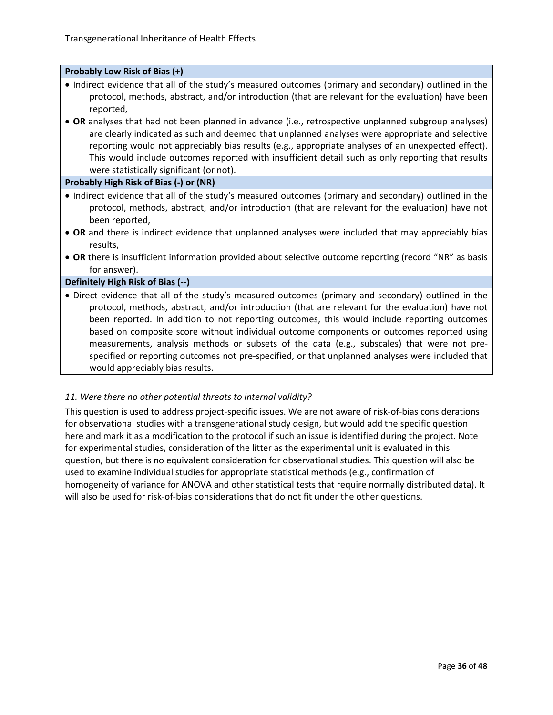# **Probably Low Risk of Bias (+)** • Indirect evidence that all of the study's measured outcomes (primary and secondary) outlined in the protocol, methods, abstract, and/or introduction (that are relevant for the evaluation) have been reported,

• **OR** analyses that had not been planned in advance (i.e., retrospective unplanned subgroup analyses) are clearly indicated as such and deemed that unplanned analyses were appropriate and selective reporting would not appreciably bias results (e.g., appropriate analyses of an unexpected effect). This would include outcomes reported with insufficient detail such as only reporting that results were statistically significant (or not).

## **Probably High Risk of Bias (-) or (NR)**

- Indirect evidence that all of the study's measured outcomes (primary and secondary) outlined in the protocol, methods, abstract, and/or introduction (that are relevant for the evaluation) have not been reported,
- **OR** and there is indirect evidence that unplanned analyses were included that may appreciably bias results,
- **OR** there is insufficient information provided about selective outcome reporting (record "NR" as basis for answer).

# **Definitely High Risk of Bias (--)**

• Direct evidence that all of the study's measured outcomes (primary and secondary) outlined in the protocol, methods, abstract, and/or introduction (that are relevant for the evaluation) have not been reported. In addition to not reporting outcomes, this would include reporting outcomes based on composite score without individual outcome components or outcomes reported using measurements, analysis methods or subsets of the data (e.g., subscales) that were not prespecified or reporting outcomes not pre-specified, or that unplanned analyses were included that would appreciably bias results.

# *11. Were there no other potential threats to internal validity?*

This question is used to address project-specific issues. We are not aware of risk-of-bias considerations for observational studies with a transgenerational study design, but would add the specific question here and mark it as a modification to the protocol if such an issue is identified during the project. Note for experimental studies, consideration of the litter as the experimental unit is evaluated in this question, but there is no equivalent consideration for observational studies. This question will also be used to examine individual studies for appropriate statistical methods (e.g., confirmation of homogeneity of variance for ANOVA and other statistical tests that require normally distributed data). It will also be used for risk-of-bias considerations that do not fit under the other questions.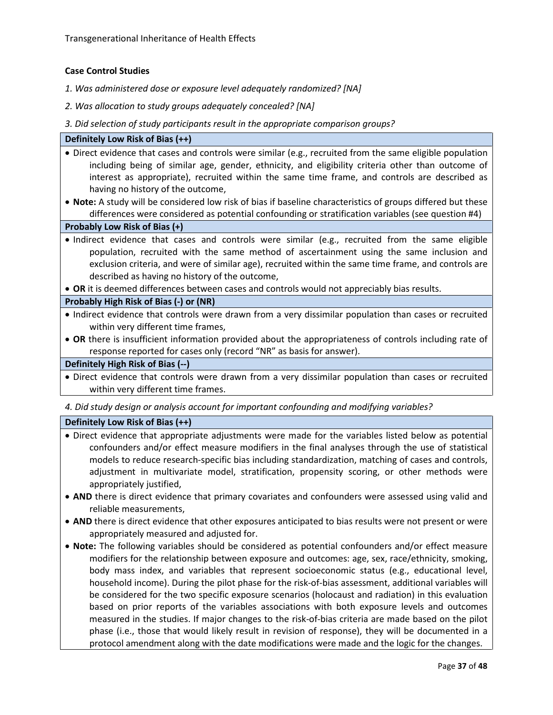### **Case Control Studies**

- *1. Was administered dose or exposure level adequately randomized? [NA]*
- *2. Was allocation to study groups adequately concealed? [NA]*
- *3. Did selection of study participants result in the appropriate comparison groups?*

**Definitely Low Risk of Bias (++)**

- Direct evidence that cases and controls were similar (e.g., recruited from the same eligible population including being of similar age, gender, ethnicity, and eligibility criteria other than outcome of interest as appropriate), recruited within the same time frame, and controls are described as having no history of the outcome,
- **Note:** A study will be considered low risk of bias if baseline characteristics of groups differed but these differences were considered as potential confounding or stratification variables (see question #4)

#### **Probably Low Risk of Bias (+)**

• Indirect evidence that cases and controls were similar (e.g., recruited from the same eligible population, recruited with the same method of ascertainment using the same inclusion and exclusion criteria, and were of similar age), recruited within the same time frame, and controls are described as having no history of the outcome,

• **OR** it is deemed differences between cases and controls would not appreciably bias results.

#### **Probably High Risk of Bias (-) or (NR)**

- Indirect evidence that controls were drawn from a very dissimilar population than cases or recruited within very different time frames,
- **OR** there is insufficient information provided about the appropriateness of controls including rate of response reported for cases only (record "NR" as basis for answer).

**Definitely High Risk of Bias (--)**

- Direct evidence that controls were drawn from a very dissimilar population than cases or recruited within very different time frames.
- *4. Did study design or analysis account for important confounding and modifying variables?*

#### **Definitely Low Risk of Bias (++)**

- Direct evidence that appropriate adjustments were made for the variables listed below as potential confounders and/or effect measure modifiers in the final analyses through the use of statistical models to reduce research-specific bias including standardization, matching of cases and controls, adjustment in multivariate model, stratification, propensity scoring, or other methods were appropriately justified,
- **AND** there is direct evidence that primary covariates and confounders were assessed using valid and reliable measurements,
- **AND** there is direct evidence that other exposures anticipated to bias results were not present or were appropriately measured and adjusted for.
- **Note:** The following variables should be considered as potential confounders and/or effect measure modifiers for the relationship between exposure and outcomes: age, sex, race/ethnicity, smoking, body mass index, and variables that represent socioeconomic status (e.g., educational level, household income). During the pilot phase for the risk-of-bias assessment, additional variables will be considered for the two specific exposure scenarios (holocaust and radiation) in this evaluation based on prior reports of the variables associations with both exposure levels and outcomes measured in the studies. If major changes to the risk-of-bias criteria are made based on the pilot phase (i.e., those that would likely result in revision of response), they will be documented in a protocol amendment along with the date modifications were made and the logic for the changes.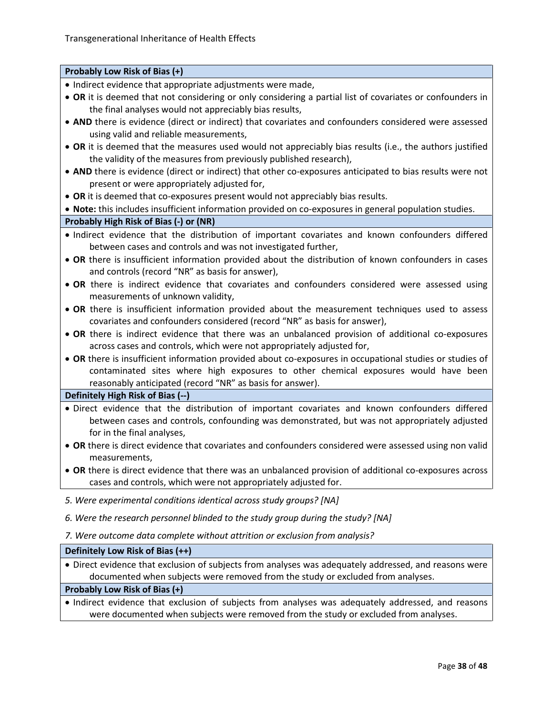#### **Probably Low Risk of Bias (+)**

- Indirect evidence that appropriate adjustments were made,
- **OR** it is deemed that not considering or only considering a partial list of covariates or confounders in the final analyses would not appreciably bias results,
- **AND** there is evidence (direct or indirect) that covariates and confounders considered were assessed using valid and reliable measurements,
- **OR** it is deemed that the measures used would not appreciably bias results (i.e., the authors justified the validity of the measures from previously published research),
- **AND** there is evidence (direct or indirect) that other co-exposures anticipated to bias results were not present or were appropriately adjusted for,
- **OR** it is deemed that co-exposures present would not appreciably bias results.

• **Note:** this includes insufficient information provided on co-exposures in general population studies.

#### **Probably High Risk of Bias (-) or (NR)**

- Indirect evidence that the distribution of important covariates and known confounders differed between cases and controls and was not investigated further,
- **OR** there is insufficient information provided about the distribution of known confounders in cases and controls (record "NR" as basis for answer),
- **OR** there is indirect evidence that covariates and confounders considered were assessed using measurements of unknown validity,
- **OR** there is insufficient information provided about the measurement techniques used to assess covariates and confounders considered (record "NR" as basis for answer),
- **OR** there is indirect evidence that there was an unbalanced provision of additional co-exposures across cases and controls, which were not appropriately adjusted for,
- **OR** there is insufficient information provided about co-exposures in occupational studies or studies of contaminated sites where high exposures to other chemical exposures would have been reasonably anticipated (record "NR" as basis for answer).

#### **Definitely High Risk of Bias (--)**

- Direct evidence that the distribution of important covariates and known confounders differed between cases and controls, confounding was demonstrated, but was not appropriately adjusted for in the final analyses,
- **OR** there is direct evidence that covariates and confounders considered were assessed using non valid measurements,
- **OR** there is direct evidence that there was an unbalanced provision of additional co-exposures across cases and controls, which were not appropriately adjusted for.
- *5. Were experimental conditions identical across study groups? [NA]*
- *6. Were the research personnel blinded to the study group during the study? [NA]*
- *7. Were outcome data complete without attrition or exclusion from analysis?*

#### **Definitely Low Risk of Bias (++)**

• Direct evidence that exclusion of subjects from analyses was adequately addressed, and reasons were documented when subjects were removed from the study or excluded from analyses.

#### **Probably Low Risk of Bias (+)**

• Indirect evidence that exclusion of subjects from analyses was adequately addressed, and reasons were documented when subjects were removed from the study or excluded from analyses.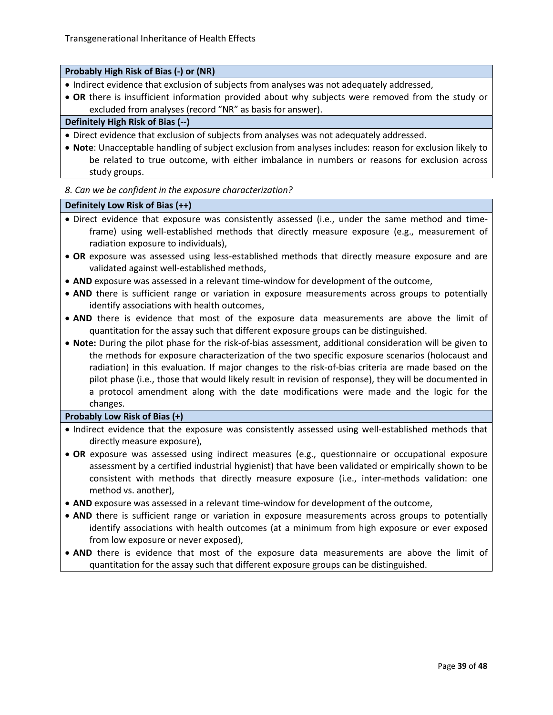- Indirect evidence that exclusion of subjects from analyses was not adequately addressed,
- **OR** there is insufficient information provided about why subjects were removed from the study or excluded from analyses (record "NR" as basis for answer).

#### **Definitely High Risk of Bias (--)**

- Direct evidence that exclusion of subjects from analyses was not adequately addressed.
- **Note**: Unacceptable handling of subject exclusion from analyses includes: reason for exclusion likely to be related to true outcome, with either imbalance in numbers or reasons for exclusion across study groups.
- *8. Can we be confident in the exposure characterization?*

#### **Definitely Low Risk of Bias (++)**

- Direct evidence that exposure was consistently assessed (i.e., under the same method and timeframe) using well-established methods that directly measure exposure (e.g., measurement of radiation exposure to individuals),
- **OR** exposure was assessed using less-established methods that directly measure exposure and are validated against well-established methods,
- **AND** exposure was assessed in a relevant time-window for development of the outcome,
- **AND** there is sufficient range or variation in exposure measurements across groups to potentially identify associations with health outcomes,
- **AND** there is evidence that most of the exposure data measurements are above the limit of quantitation for the assay such that different exposure groups can be distinguished.
- **Note:** During the pilot phase for the risk-of-bias assessment, additional consideration will be given to the methods for exposure characterization of the two specific exposure scenarios (holocaust and radiation) in this evaluation. If major changes to the risk-of-bias criteria are made based on the pilot phase (i.e., those that would likely result in revision of response), they will be documented in a protocol amendment along with the date modifications were made and the logic for the changes.

### **Probably Low Risk of Bias (+)**

- Indirect evidence that the exposure was consistently assessed using well-established methods that directly measure exposure),
- **OR** exposure was assessed using indirect measures (e.g., questionnaire or occupational exposure assessment by a certified industrial hygienist) that have been validated or empirically shown to be consistent with methods that directly measure exposure (i.e., inter-methods validation: one method vs. another),
- **AND** exposure was assessed in a relevant time-window for development of the outcome,
- **AND** there is sufficient range or variation in exposure measurements across groups to potentially identify associations with health outcomes (at a minimum from high exposure or ever exposed from low exposure or never exposed),
- **AND** there is evidence that most of the exposure data measurements are above the limit of quantitation for the assay such that different exposure groups can be distinguished.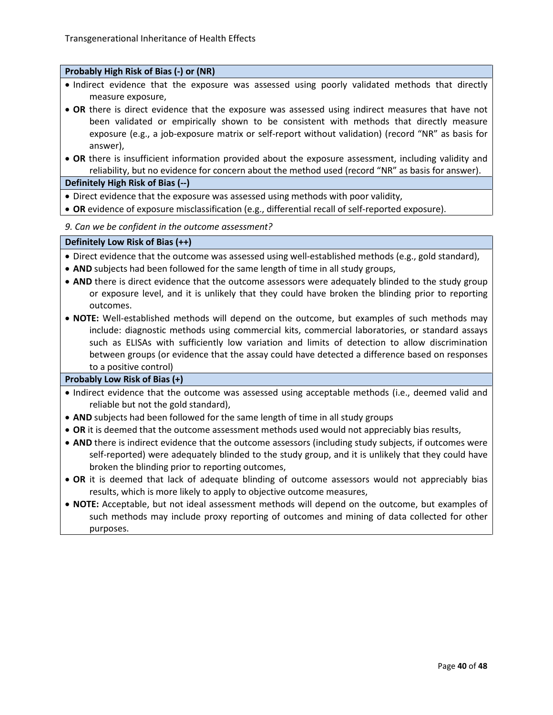- Indirect evidence that the exposure was assessed using poorly validated methods that directly measure exposure,
- **OR** there is direct evidence that the exposure was assessed using indirect measures that have not been validated or empirically shown to be consistent with methods that directly measure exposure (e.g., a job-exposure matrix or self-report without validation) (record "NR" as basis for answer),
- **OR** there is insufficient information provided about the exposure assessment, including validity and reliability, but no evidence for concern about the method used (record "NR" as basis for answer).

**Definitely High Risk of Bias (--)**

- Direct evidence that the exposure was assessed using methods with poor validity,
- **OR** evidence of exposure misclassification (e.g., differential recall of self-reported exposure).

#### *9. Can we be confident in the outcome assessment?*

# **Definitely Low Risk of Bias (++)**

- Direct evidence that the outcome was assessed using well-established methods (e.g., gold standard),
- **AND** subjects had been followed for the same length of time in all study groups,
- AND there is direct evidence that the outcome assessors were adequately blinded to the study group or exposure level, and it is unlikely that they could have broken the blinding prior to reporting outcomes.
- **NOTE:** Well-established methods will depend on the outcome, but examples of such methods may include: diagnostic methods using commercial kits, commercial laboratories, or standard assays such as ELISAs with sufficiently low variation and limits of detection to allow discrimination between groups (or evidence that the assay could have detected a difference based on responses to a positive control)

#### **Probably Low Risk of Bias (+)**

- Indirect evidence that the outcome was assessed using acceptable methods (i.e., deemed valid and reliable but not the gold standard),
- **AND** subjects had been followed for the same length of time in all study groups
- **OR** it is deemed that the outcome assessment methods used would not appreciably bias results,
- AND there is indirect evidence that the outcome assessors (including study subjects, if outcomes were self-reported) were adequately blinded to the study group, and it is unlikely that they could have broken the blinding prior to reporting outcomes,
- **OR** it is deemed that lack of adequate blinding of outcome assessors would not appreciably bias results, which is more likely to apply to objective outcome measures,
- **NOTE:** Acceptable, but not ideal assessment methods will depend on the outcome, but examples of such methods may include proxy reporting of outcomes and mining of data collected for other purposes.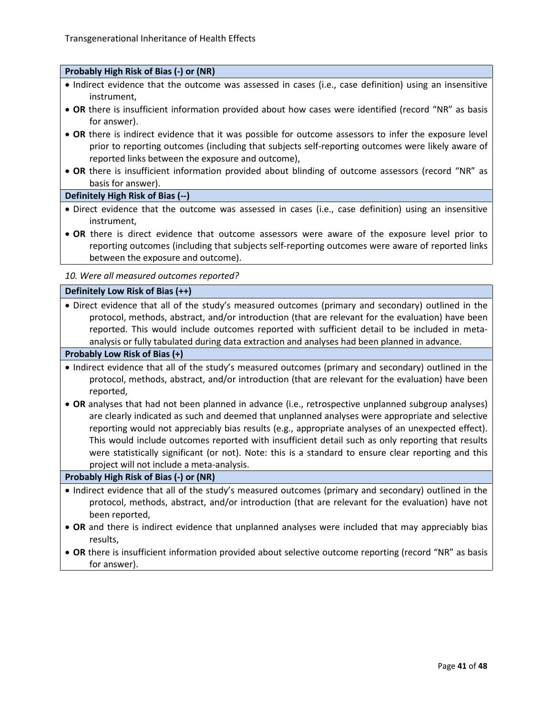- Indirect evidence that the outcome was assessed in cases (i.e., case definition) using an insensitive instrument,
- **OR** there is insufficient information provided about how cases were identified (record "NR" as basis for answer).
- **OR** there is indirect evidence that it was possible for outcome assessors to infer the exposure level prior to reporting outcomes (including that subjects self-reporting outcomes were likely aware of reported links between the exposure and outcome),
- **OR** there is insufficient information provided about blinding of outcome assessors (record "NR" as basis for answer).

#### **Definitely High Risk of Bias (--)**

- Direct evidence that the outcome was assessed in cases (i.e., case definition) using an insensitive instrument,
- **OR** there is direct evidence that outcome assessors were aware of the exposure level prior to reporting outcomes (including that subjects self-reporting outcomes were aware of reported links between the exposure and outcome).
- *10. Were all measured outcomes reported?*

#### **Definitely Low Risk of Bias (++)**

• Direct evidence that all of the study's measured outcomes (primary and secondary) outlined in the protocol, methods, abstract, and/or introduction (that are relevant for the evaluation) have been reported. This would include outcomes reported with sufficient detail to be included in metaanalysis or fully tabulated during data extraction and analyses had been planned in advance.

#### **Probably Low Risk of Bias (+)**

- Indirect evidence that all of the study's measured outcomes (primary and secondary) outlined in the protocol, methods, abstract, and/or introduction (that are relevant for the evaluation) have been reported,
- **OR** analyses that had not been planned in advance (i.e., retrospective unplanned subgroup analyses) are clearly indicated as such and deemed that unplanned analyses were appropriate and selective reporting would not appreciably bias results (e.g., appropriate analyses of an unexpected effect). This would include outcomes reported with insufficient detail such as only reporting that results were statistically significant (or not). Note: this is a standard to ensure clear reporting and this project will not include a meta-analysis.

#### **Probably High Risk of Bias (-) or (NR)**

- Indirect evidence that all of the study's measured outcomes (primary and secondary) outlined in the protocol, methods, abstract, and/or introduction (that are relevant for the evaluation) have not been reported,
- **OR** and there is indirect evidence that unplanned analyses were included that may appreciably bias results,
- **OR** there is insufficient information provided about selective outcome reporting (record "NR" as basis for answer).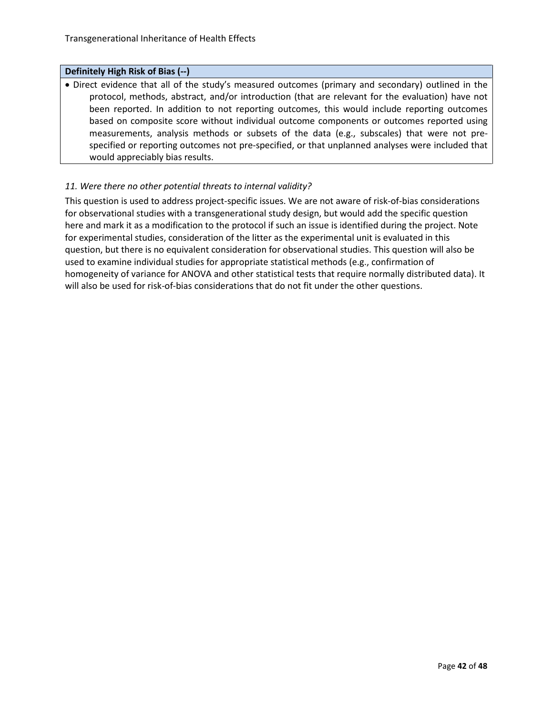### **Definitely High Risk of Bias (--)**

• Direct evidence that all of the study's measured outcomes (primary and secondary) outlined in the protocol, methods, abstract, and/or introduction (that are relevant for the evaluation) have not been reported. In addition to not reporting outcomes, this would include reporting outcomes based on composite score without individual outcome components or outcomes reported using measurements, analysis methods or subsets of the data (e.g., subscales) that were not prespecified or reporting outcomes not pre-specified, or that unplanned analyses were included that would appreciably bias results.

# *11. Were there no other potential threats to internal validity?*

This question is used to address project-specific issues. We are not aware of risk-of-bias considerations for observational studies with a transgenerational study design, but would add the specific question here and mark it as a modification to the protocol if such an issue is identified during the project. Note for experimental studies, consideration of the litter as the experimental unit is evaluated in this question, but there is no equivalent consideration for observational studies. This question will also be used to examine individual studies for appropriate statistical methods (e.g., confirmation of homogeneity of variance for ANOVA and other statistical tests that require normally distributed data). It will also be used for risk-of-bias considerations that do not fit under the other questions.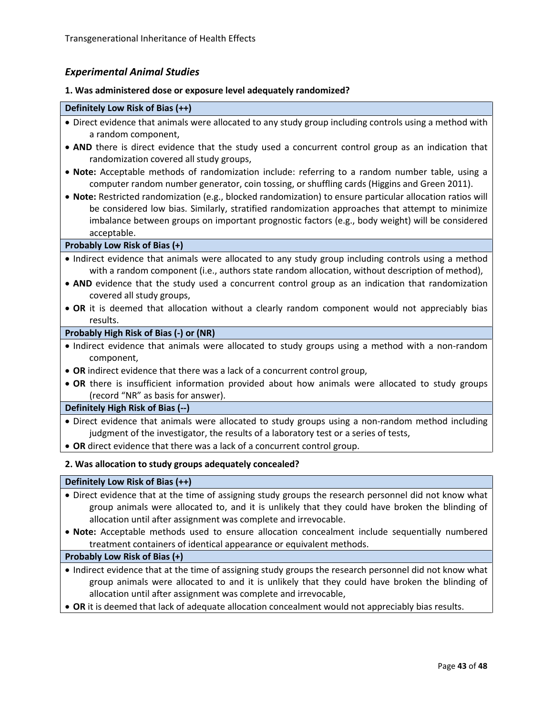## *Experimental Animal Studies*

#### **1. Was administered dose or exposure level adequately randomized?**

### **Definitely Low Risk of Bias (++)**

- Direct evidence that animals were allocated to any study group including controls using a method with a random component,
- **AND** there is direct evidence that the study used a concurrent control group as an indication that randomization covered all study groups,
- **Note:** Acceptable methods of randomization include: referring to a random number table, using a computer random number generator, coin tossing, or shuffling cards [\(Higgins and Green 2011\)](#page-15-9).
- **Note:** Restricted randomization (e.g., blocked randomization) to ensure particular allocation ratios will be considered low bias. Similarly, stratified randomization approaches that attempt to minimize imbalance between groups on important prognostic factors (e.g., body weight) will be considered acceptable.

#### **Probably Low Risk of Bias (+)**

- Indirect evidence that animals were allocated to any study group including controls using a method with a random component (i.e., authors state random allocation, without description of method),
- **AND** evidence that the study used a concurrent control group as an indication that randomization covered all study groups,
- **OR** it is deemed that allocation without a clearly random component would not appreciably bias results.

#### **Probably High Risk of Bias (-) or (NR)**

- Indirect evidence that animals were allocated to study groups using a method with a non-random component,
- **OR** indirect evidence that there was a lack of a concurrent control group,
- **OR** there is insufficient information provided about how animals were allocated to study groups (record "NR" as basis for answer).

#### **Definitely High Risk of Bias (--)**

- Direct evidence that animals were allocated to study groups using a non-random method including judgment of the investigator, the results of a laboratory test or a series of tests,
- **OR** direct evidence that there was a lack of a concurrent control group.

#### **2. Was allocation to study groups adequately concealed?**

#### **Definitely Low Risk of Bias (++)**

- Direct evidence that at the time of assigning study groups the research personnel did not know what group animals were allocated to, and it is unlikely that they could have broken the blinding of allocation until after assignment was complete and irrevocable.
- **Note:** Acceptable methods used to ensure allocation concealment include sequentially numbered treatment containers of identical appearance or equivalent methods.

#### **Probably Low Risk of Bias (+)**

- Indirect evidence that at the time of assigning study groups the research personnel did not know what group animals were allocated to and it is unlikely that they could have broken the blinding of allocation until after assignment was complete and irrevocable,
- **OR** it is deemed that lack of adequate allocation concealment would not appreciably bias results.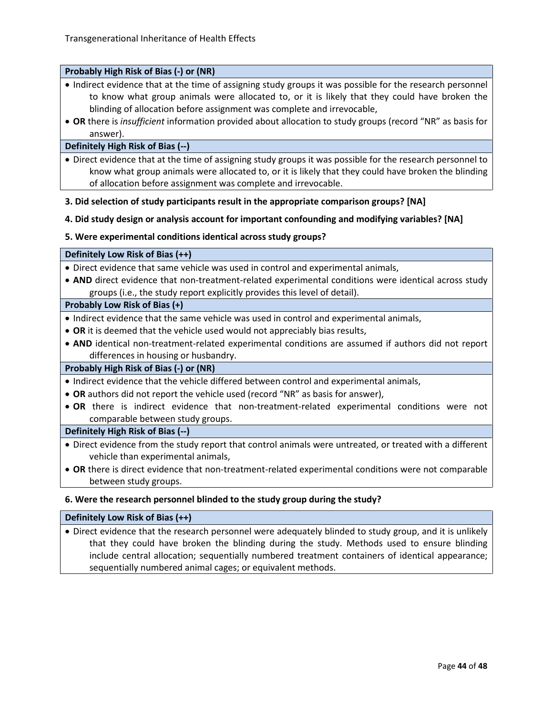| Probably High Risk of Bias (-) or (NR)                                                                     |
|------------------------------------------------------------------------------------------------------------|
| • Indirect evidence that at the time of assigning study groups it was possible for the research personnel  |
| to know what group animals were allocated to, or it is likely that they could have broken the              |
| blinding of allocation before assignment was complete and irrevocable,                                     |
| • OR there is insufficient information provided about allocation to study groups (record "NR" as basis for |
| answer).                                                                                                   |
| Definitely High Risk of Bias (--)                                                                          |
| • Direct evidence that at the time of assigning study groups it was possible for the research personnel to |
| know what group animals were allocated to, or it is likely that they could have broken the blinding        |
| of allocation before assignment was complete and irrevocable.                                              |
| 3. Did selection of study participants result in the appropriate comparison groups? [NA]                   |
| 4. Did study design or analysis account for important confounding and modifying variables? [NA]            |
| 5. Were experimental conditions identical across study groups?                                             |
| Definitely Low Risk of Bias (++)                                                                           |
| • Direct evidence that same vehicle was used in control and experimental animals,                          |
| • AND direct evidence that non-treatment-related experimental conditions were identical across study       |
| groups (i.e., the study report explicitly provides this level of detail).                                  |
| Probably Low Risk of Bias (+)                                                                              |
| • Indirect evidence that the same vehicle was used in control and experimental animals,                    |
| • OR it is deemed that the vehicle used would not appreciably bias results,                                |
| • AND identical non-treatment-related experimental conditions are assumed if authors did not report        |
| differences in housing or husbandry.                                                                       |
| Probably High Risk of Bias (-) or (NR)                                                                     |
| . Indirect evidence that the vehicle differed between control and experimental animals,                    |
| • OR authors did not report the vehicle used (record "NR" as basis for answer),                            |
| . OR there is indirect evidence that non-treatment-related experimental conditions were not                |
| comparable between study groups.                                                                           |
| Definitely High Risk of Bias (--)                                                                          |
| • Direct evidence from the study report that control animals were untreated, or treated with a different   |
| vehicle than experimental animals,                                                                         |
| • OR there is direct evidence that non-treatment-related experimental conditions were not comparable       |
| between study groups.                                                                                      |
| 6. Were the research personnel blinded to the study group during the study?                                |
| Definitely Low Risk of Bias (++)                                                                           |

• Direct evidence that the research personnel were adequately blinded to study group, and it is unlikely that they could have broken the blinding during the study. Methods used to ensure blinding include central allocation; sequentially numbered treatment containers of identical appearance; sequentially numbered animal cages; or equivalent methods.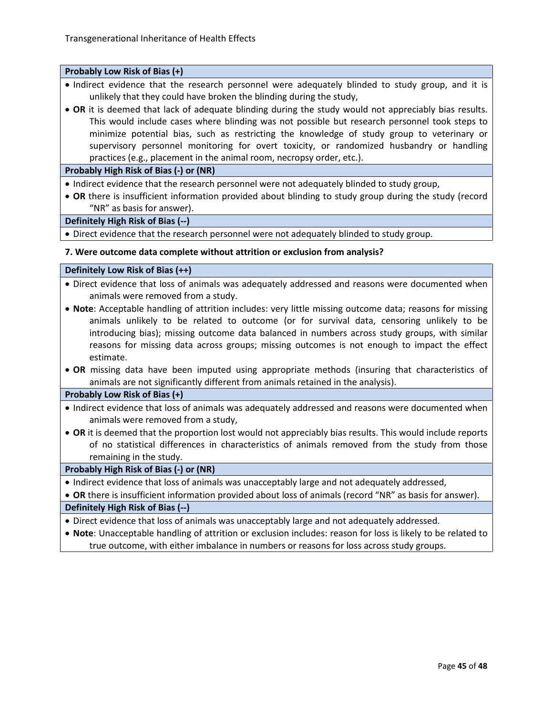#### **Probably Low Risk of Bias (+)**

• Indirect evidence that the research personnel were adequately blinded to study group, and it is unlikely that they could have broken the blinding during the study,

• **OR** it is deemed that lack of adequate blinding during the study would not appreciably bias results. This would include cases where blinding was not possible but research personnel took steps to minimize potential bias, such as restricting the knowledge of study group to veterinary or supervisory personnel monitoring for overt toxicity, or randomized husbandry or handling practices (e.g., placement in the animal room, necropsy order, etc.).

#### **Probably High Risk of Bias (-) or (NR)**

- Indirect evidence that the research personnel were not adequately blinded to study group,
- **OR** there is insufficient information provided about blinding to study group during the study (record "NR" as basis for answer).

#### **Definitely High Risk of Bias (--)**

• Direct evidence that the research personnel were not adequately blinded to study group.

#### **7. Were outcome data complete without attrition or exclusion from analysis?**

#### **Definitely Low Risk of Bias (++)**

- Direct evidence that loss of animals was adequately addressed and reasons were documented when animals were removed from a study.
- **Note**: Acceptable handling of attrition includes: very little missing outcome data; reasons for missing animals unlikely to be related to outcome (or for survival data, censoring unlikely to be introducing bias); missing outcome data balanced in numbers across study groups, with similar reasons for missing data across groups; missing outcomes is not enough to impact the effect estimate.
- **OR** missing data have been imputed using appropriate methods (insuring that characteristics of animals are not significantly different from animals retained in the analysis).

#### **Probably Low Risk of Bias (+)**

- Indirect evidence that loss of animals was adequately addressed and reasons were documented when animals were removed from a study,
- **OR** it is deemed that the proportion lost would not appreciably bias results. This would include reports of no statistical differences in characteristics of animals removed from the study from those remaining in the study.

### **Probably High Risk of Bias (-) or (NR)**

- Indirect evidence that loss of animals was unacceptably large and not adequately addressed,
- **OR** there is insufficient information provided about loss of animals (record "NR" as basis for answer). **Definitely High Risk of Bias (--)**

# • Direct evidence that loss of animals was unacceptably large and not adequately addressed.

• **Note**: Unacceptable handling of attrition or exclusion includes: reason for loss is likely to be related to true outcome, with either imbalance in numbers or reasons for loss across study groups.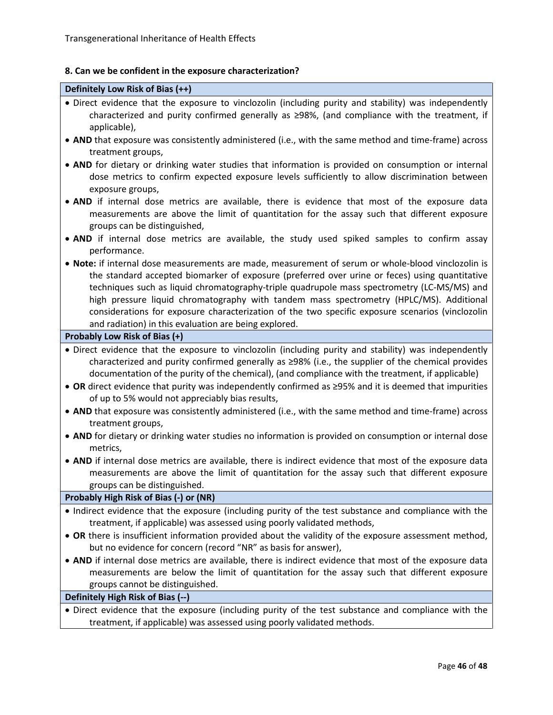#### **8. Can we be confident in the exposure characterization?**

# **Definitely Low Risk of Bias (++)** • Direct evidence that the exposure to vinclozolin (including purity and stability) was independently characterized and purity confirmed generally as ≥98%, (and compliance with the treatment, if applicable), • **AND** that exposure was consistently administered (i.e., with the same method and time-frame) across treatment groups, • **AND** for dietary or drinking water studies that information is provided on consumption or internal dose metrics to confirm expected exposure levels sufficiently to allow discrimination between exposure groups, • **AND** if internal dose metrics are available, there is evidence that most of the exposure data measurements are above the limit of quantitation for the assay such that different exposure groups can be distinguished, • **AND** if internal dose metrics are available, the study used spiked samples to confirm assay performance. • **Note:** if internal dose measurements are made, measurement of serum or whole-blood vinclozolin is the standard accepted biomarker of exposure (preferred over urine or feces) using quantitative techniques such as liquid chromatography-triple quadrupole mass spectrometry (LC-MS/MS) and high pressure liquid chromatography with tandem mass spectrometry (HPLC/MS). Additional considerations for exposure characterization of the two specific exposure scenarios (vinclozolin and radiation) in this evaluation are being explored. **Probably Low Risk of Bias (+)** • Direct evidence that the exposure to vinclozolin (including purity and stability) was independently characterized and purity confirmed generally as ≥98% (i.e., the supplier of the chemical provides documentation of the purity of the chemical), (and compliance with the treatment, if applicable) • **OR** direct evidence that purity was independently confirmed as ≥95% and it is deemed that impurities of up to 5% would not appreciably bias results, • **AND** that exposure was consistently administered (i.e., with the same method and time-frame) across treatment groups, • **AND** for dietary or drinking water studies no information is provided on consumption or internal dose metrics, • **AND** if internal dose metrics are available, there is indirect evidence that most of the exposure data measurements are above the limit of quantitation for the assay such that different exposure groups can be distinguished. **Probably High Risk of Bias (-) or (NR)** • Indirect evidence that the exposure (including purity of the test substance and compliance with the treatment, if applicable) was assessed using poorly validated methods, • **OR** there is insufficient information provided about the validity of the exposure assessment method, but no evidence for concern (record "NR" as basis for answer), • **AND** if internal dose metrics are available, there is indirect evidence that most of the exposure data measurements are below the limit of quantitation for the assay such that different exposure groups cannot be distinguished. **Definitely High Risk of Bias (--)** • Direct evidence that the exposure (including purity of the test substance and compliance with the treatment, if applicable) was assessed using poorly validated methods.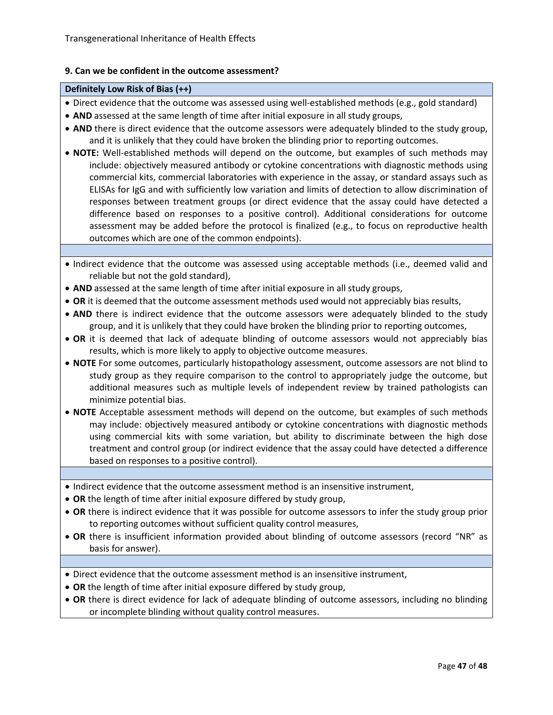#### **9. Can we be confident in the outcome assessment?**

#### **Definitely Low Risk of Bias (++)**

- Direct evidence that the outcome was assessed using well-established methods (e.g., gold standard)
- **AND** assessed at the same length of time after initial exposure in all study groups,
- AND there is direct evidence that the outcome assessors were adequately blinded to the study group, and it is unlikely that they could have broken the blinding prior to reporting outcomes.
- **NOTE:** Well-established methods will depend on the outcome, but examples of such methods may include: objectively measured antibody or cytokine concentrations with diagnostic methods using commercial kits, commercial laboratories with experience in the assay, or standard assays such as ELISAs for IgG and with sufficiently low variation and limits of detection to allow discrimination of responses between treatment groups (or direct evidence that the assay could have detected a difference based on responses to a positive control). Additional considerations for outcome assessment may be added before the protocol is finalized (e.g., to focus on reproductive health outcomes which are one of the common endpoints).
- Indirect evidence that the outcome was assessed using acceptable methods (i.e., deemed valid and reliable but not the gold standard),
- **AND** assessed at the same length of time after initial exposure in all study groups,
- **OR** it is deemed that the outcome assessment methods used would not appreciably bias results,
- **AND** there is indirect evidence that the outcome assessors were adequately blinded to the study group, and it is unlikely that they could have broken the blinding prior to reporting outcomes,
- **OR** it is deemed that lack of adequate blinding of outcome assessors would not appreciably bias results, which is more likely to apply to objective outcome measures.
- **NOTE** For some outcomes, particularly histopathology assessment, outcome assessors are not blind to study group as they require comparison to the control to appropriately judge the outcome, but additional measures such as multiple levels of independent review by trained pathologists can minimize potential bias.
- **NOTE** Acceptable assessment methods will depend on the outcome, but examples of such methods may include: objectively measured antibody or cytokine concentrations with diagnostic methods using commercial kits with some variation, but ability to discriminate between the high dose treatment and control group (or indirect evidence that the assay could have detected a difference based on responses to a positive control).
- Indirect evidence that the outcome assessment method is an insensitive instrument,
- **OR** the length of time after initial exposure differed by study group,
- **OR** there is indirect evidence that it was possible for outcome assessors to infer the study group prior to reporting outcomes without sufficient quality control measures,
- **OR** there is insufficient information provided about blinding of outcome assessors (record "NR" as basis for answer).
- Direct evidence that the outcome assessment method is an insensitive instrument,
- **OR** the length of time after initial exposure differed by study group,
- **OR** there is direct evidence for lack of adequate blinding of outcome assessors, including no blinding or incomplete blinding without quality control measures.